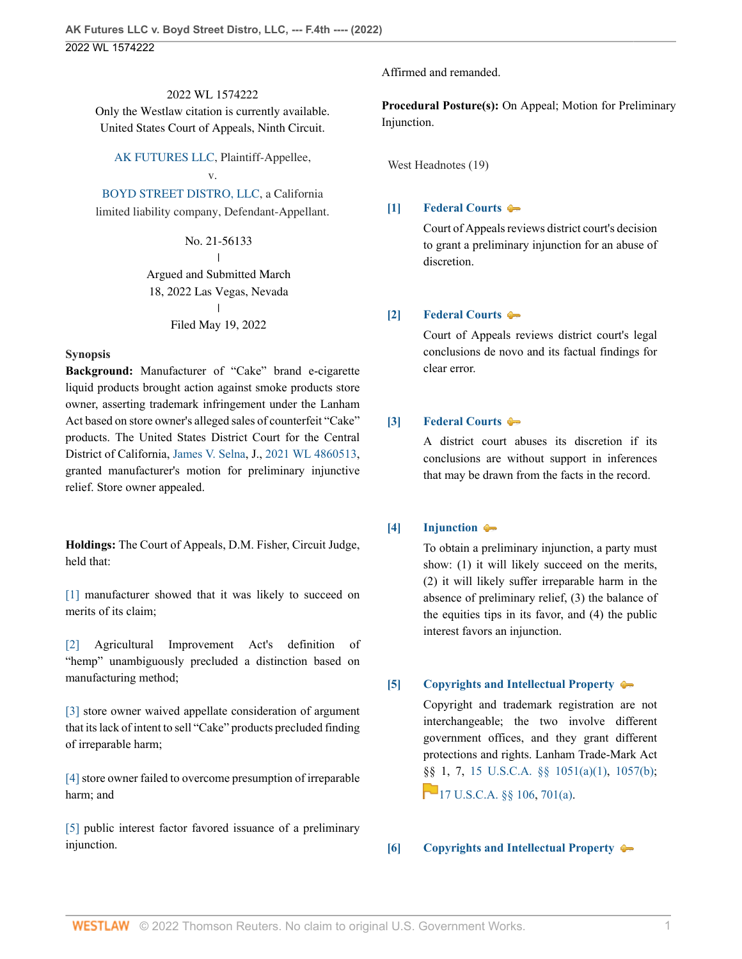2022 WL 1574222 Only the Westlaw citation is currently available. United States Court of Appeals, Ninth Circuit.

[AK FUTURES LLC](http://www.westlaw.com/Search/Results.html?query=advanced%3a+WCAID(IAA5194C0675111E080258F0E01953BF2)&saveJuris=False&contentType=BUSINESS-INVESTIGATOR&startIndex=1&contextData=(sc.Default)&categoryPageUrl=Home%2fCompanyInvestigator&originationContext=document&vr=3.0&rs=cblt1.0&transitionType=DocumentItem), Plaintiff-Appellee, v.

[BOYD STREET DISTRO, LLC](http://www.westlaw.com/Search/Results.html?query=advanced%3a+WCAID(37fcd1fed1094776bda78c507ec85e4c)&saveJuris=False&contentType=BUSINESS-INVESTIGATOR&startIndex=1&contextData=(sc.Default)&categoryPageUrl=Home%2fCompanyInvestigator&originationContext=document&vr=3.0&rs=cblt1.0&transitionType=DocumentItem), a California limited liability company, Defendant-Appellant.

> No. 21-56133  $\mathbf{I}$ | Argued and Submitted March 18, 2022 Las Vegas, Nevada  $\mathbf{I}$ | Filed May 19, 2022

#### **Synopsis**

**Background:** Manufacturer of "Cake" brand e-cigarette liquid products brought action against smoke products store owner, asserting trademark infringement under the Lanham Act based on store owner's alleged sales of counterfeit "Cake" products. The United States District Court for the Central District of California, [James V. Selna,](http://www.westlaw.com/Link/Document/FullText?findType=h&pubNum=176284&cite=0331072101&originatingDoc=Icc040370d7aa11ec8d48d9b78fa47086&refType=RQ&originationContext=document&vr=3.0&rs=cblt1.0&transitionType=DocumentItem&contextData=(sc.UserEnteredCitation)) J., [2021 WL 4860513,](http://www.westlaw.com/Link/Document/FullText?findType=Y&serNum=2054737084&pubNum=0000999&originatingDoc=Icc040370d7aa11ec8d48d9b78fa47086&refType=RP&originationContext=document&vr=3.0&rs=cblt1.0&transitionType=DocumentItem&contextData=(sc.UserEnteredCitation)) granted manufacturer's motion for preliminary injunctive relief. Store owner appealed.

**Holdings:** The Court of Appeals, D.M. Fisher, Circuit Judge, held that:

[\[1\]](#page-1-0) manufacturer showed that it was likely to succeed on merits of its claim;

[\[2\]](#page-1-1) Agricultural Improvement Act's definition of "hemp" unambiguously precluded a distinction based on manufacturing method;

[\[3\]](#page-2-0) store owner waived appellate consideration of argument that its lack of intent to sell "Cake" products precluded finding of irreparable harm;

[\[4\]](#page-2-1) store owner failed to overcome presumption of irreparable harm; and

[\[5\]](#page-2-2) public interest factor favored issuance of a preliminary injunction.

Affirmed and remanded.

**Procedural Posture(s):** On Appeal; Motion for Preliminary Injunction.

West Headnotes (19)

### <span id="page-0-0"></span>**[\[1\]](#page-4-0) [Federal Courts](http://www.westlaw.com/Browse/Home/KeyNumber/170B/View.html?docGuid=Icc040370d7aa11ec8d48d9b78fa47086&originationContext=document&vr=3.0&rs=cblt1.0&transitionType=DocumentItem&contextData=(sc.UserEnteredCitation))**

Court of Appeals reviews district court's decision to grant a preliminary injunction for an abuse of discretion.

### <span id="page-0-1"></span>**[\[2\]](#page-4-1) [Federal Courts](http://www.westlaw.com/Browse/Home/KeyNumber/170B/View.html?docGuid=Icc040370d7aa11ec8d48d9b78fa47086&originationContext=document&vr=3.0&rs=cblt1.0&transitionType=DocumentItem&contextData=(sc.UserEnteredCitation))**

Court of Appeals reviews district court's legal conclusions de novo and its factual findings for clear error.

### <span id="page-0-2"></span>**[\[3\]](#page-4-2) [Federal Courts](http://www.westlaw.com/Browse/Home/KeyNumber/170B/View.html?docGuid=Icc040370d7aa11ec8d48d9b78fa47086&originationContext=document&vr=3.0&rs=cblt1.0&transitionType=DocumentItem&contextData=(sc.UserEnteredCitation))**

A district court abuses its discretion if its conclusions are without support in inferences that may be drawn from the facts in the record.

### <span id="page-0-3"></span>**[\[4\]](#page-4-3) [Injunction](http://www.westlaw.com/Browse/Home/KeyNumber/212/View.html?docGuid=Icc040370d7aa11ec8d48d9b78fa47086&originationContext=document&vr=3.0&rs=cblt1.0&transitionType=DocumentItem&contextData=(sc.UserEnteredCitation))**

To obtain a preliminary injunction, a party must show: (1) it will likely succeed on the merits, (2) it will likely suffer irreparable harm in the absence of preliminary relief, (3) the balance of the equities tips in its favor, and (4) the public interest favors an injunction.

### <span id="page-0-4"></span>**[\[5\]](#page-5-0) [Copyrights and Intellectual Property](http://www.westlaw.com/Browse/Home/KeyNumber/99/View.html?docGuid=Icc040370d7aa11ec8d48d9b78fa47086&originationContext=document&vr=3.0&rs=cblt1.0&transitionType=DocumentItem&contextData=(sc.UserEnteredCitation))**

Copyright and trademark registration are not interchangeable; the two involve different government offices, and they grant different protections and rights. Lanham Trade-Mark Act [§§](https://1.next.westlaw.com/Link/RelatedInformation/Flag?documentGuid=N64EE8AE0A06711D8B8FABFF7D35FC9C0&transitionType=InlineKeyCiteFlags&originationContext=docHeaderFlag&Rank=0&ppcid=60f9b16838e345d6823c00f84c157169&contextData=(sc.UserEnteredCitation) ) 1, 7, [15 U.S.C.A. §§ 1051\(a\)\(1\)](http://www.westlaw.com/Link/Document/FullText?findType=L&pubNum=1000546&cite=15USCAS1051&originatingDoc=Icc040370d7aa11ec8d48d9b78fa47086&refType=SP&originationContext=document&vr=3.0&rs=cblt1.0&transitionType=DocumentItem&contextData=(sc.UserEnteredCitation)#co_pp_7b9b000044381), [1057\(b\);](http://www.westlaw.com/Link/Document/FullText?findType=L&pubNum=1000546&cite=15USCAS1057&originatingDoc=Icc040370d7aa11ec8d48d9b78fa47086&refType=SP&originationContext=document&vr=3.0&rs=cblt1.0&transitionType=DocumentItem&contextData=(sc.UserEnteredCitation)#co_pp_a83b000018c76)  $17 \text{ U.S. C.A. }$  \$ \$106, [701\(a\)](http://www.westlaw.com/Link/Document/FullText?findType=L&pubNum=1000546&cite=17USCAS701&originatingDoc=Icc040370d7aa11ec8d48d9b78fa47086&refType=SP&originationContext=document&vr=3.0&rs=cblt1.0&transitionType=DocumentItem&contextData=(sc.UserEnteredCitation)#co_pp_8b3b0000958a4).

### <span id="page-0-5"></span>**[\[6\]](#page-5-1) [Copyrights and Intellectual Property](http://www.westlaw.com/Browse/Home/KeyNumber/99/View.html?docGuid=Icc040370d7aa11ec8d48d9b78fa47086&originationContext=document&vr=3.0&rs=cblt1.0&transitionType=DocumentItem&contextData=(sc.UserEnteredCitation))**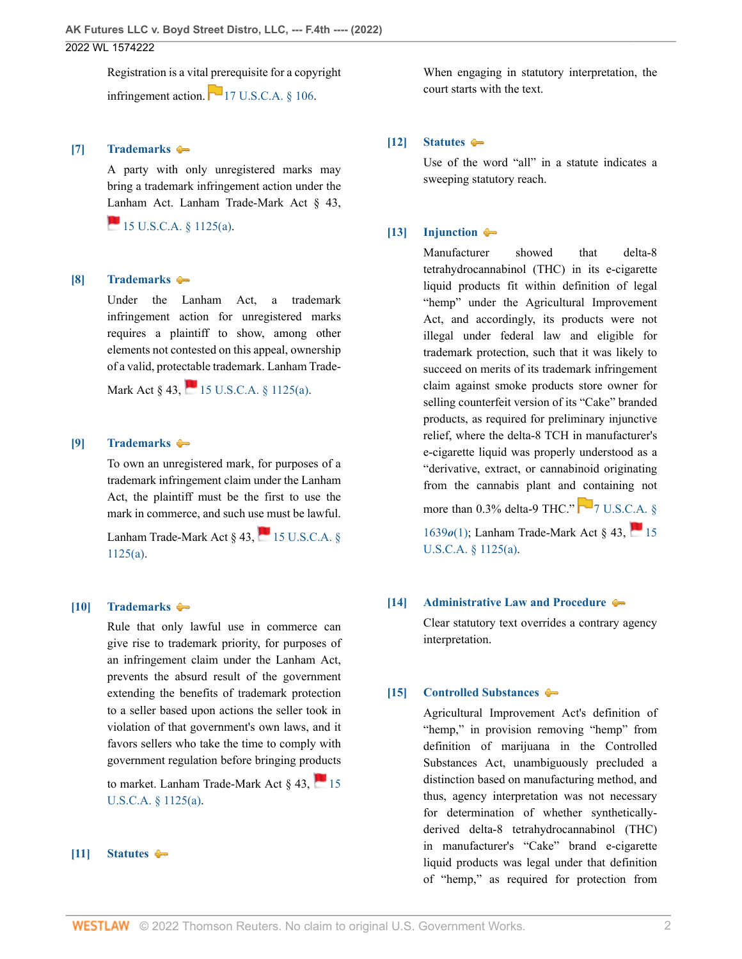Registration is a vital prerequisite for a copyright infringement action.  $\boxed{17 \text{ U.S. C.A. } 8106.}$ 

### <span id="page-1-2"></span>**[\[7\]](#page-5-2) [Trademarks](http://www.westlaw.com/Browse/Home/KeyNumber/382T/View.html?docGuid=Icc040370d7aa11ec8d48d9b78fa47086&originationContext=document&vr=3.0&rs=cblt1.0&transitionType=DocumentItem&contextData=(sc.UserEnteredCitation))**

A party with only unregistered marks may bring a trademark infringement action under the [Lan](http://www.westlaw.com/Link/Document/FullText?findType=L&pubNum=1000546&cite=15USCAS1125&originatingDoc=Icc040370d7aa11ec8d48d9b78fa47086&refType=SP&originationContext=document&vr=3.0&rs=cblt1.0&transitionType=DocumentItem&contextData=(sc.UserEnteredCitation)#co_pp_8b3b0000958a4)ham Act. Lanham Trade-Mark Act § 43,

 $15$  U.S.C.A. § 1125(a).

#### <span id="page-1-3"></span>**[\[8\]](#page-5-3) [Trademarks](http://www.westlaw.com/Browse/Home/KeyNumber/382T/View.html?docGuid=Icc040370d7aa11ec8d48d9b78fa47086&originationContext=document&vr=3.0&rs=cblt1.0&transitionType=DocumentItem&contextData=(sc.UserEnteredCitation))**

Under the Lanham Act, a trademark infringement action for unregistered marks requires a plaintiff to show, among other elements not contested on this appeal, ownership of a valid, protectable trademark. Lanham Trade-

Mark Act  $\S$  43,  $\blacksquare$  15 U.S.C.A.  $\S$  1125(a).

### <span id="page-1-4"></span>**[\[9\]](#page-5-4) [Trademarks](http://www.westlaw.com/Browse/Home/KeyNumber/382T/View.html?docGuid=Icc040370d7aa11ec8d48d9b78fa47086&originationContext=document&vr=3.0&rs=cblt1.0&transitionType=DocumentItem&contextData=(sc.UserEnteredCitation))**

To own an unregistered mark, for purposes of a trademark infringement claim under the Lanham Act, the plaintiff must be the first to use the mark in commerce, and such use must be lawful.

Lanham Trade-Mark Act  $\frac{8}{43}$ , 15 U.S.C.A.  $\frac{8}{3}$ [1125\(a\)](http://www.westlaw.com/Link/Document/FullText?findType=L&pubNum=1000546&cite=15USCAS1125&originatingDoc=Icc040370d7aa11ec8d48d9b78fa47086&refType=SP&originationContext=document&vr=3.0&rs=cblt1.0&transitionType=DocumentItem&contextData=(sc.UserEnteredCitation)#co_pp_8b3b0000958a4).

### <span id="page-1-5"></span>**[\[10\]](#page-6-0) [Trademarks](http://www.westlaw.com/Browse/Home/KeyNumber/382T/View.html?docGuid=Icc040370d7aa11ec8d48d9b78fa47086&originationContext=document&vr=3.0&rs=cblt1.0&transitionType=DocumentItem&contextData=(sc.UserEnteredCitation))**

Rule that only lawful use in commerce can give rise to trademark priority, for purposes of an infringement claim under the Lanham Act, prevents the absurd result of the government extending the benefits of trademark protection to a seller based upon actions the seller took in violation of that government's own laws, and it favors sellers who take the time to comply with government regulation before bringing products

to market. Lanham Trade-Mark Act  $\frac{1}{3}$ , [15](http://www.westlaw.com/Link/Document/FullText?findType=L&pubNum=1000546&cite=15USCAS1125&originatingDoc=Icc040370d7aa11ec8d48d9b78fa47086&refType=SP&originationContext=document&vr=3.0&rs=cblt1.0&transitionType=DocumentItem&contextData=(sc.UserEnteredCitation)#co_pp_8b3b0000958a4) [U.S.C.A. § 1125\(a\).](http://www.westlaw.com/Link/Document/FullText?findType=L&pubNum=1000546&cite=15USCAS1125&originatingDoc=Icc040370d7aa11ec8d48d9b78fa47086&refType=SP&originationContext=document&vr=3.0&rs=cblt1.0&transitionType=DocumentItem&contextData=(sc.UserEnteredCitation)#co_pp_8b3b0000958a4)

#### <span id="page-1-6"></span>**[\[11\]](#page-6-1) [Statutes](http://www.westlaw.com/Browse/Home/KeyNumber/361/View.html?docGuid=Icc040370d7aa11ec8d48d9b78fa47086&originationContext=document&vr=3.0&rs=cblt1.0&transitionType=DocumentItem&contextData=(sc.UserEnteredCitation))**

When engaging in statutory interpretation, the court starts with the text.

#### <span id="page-1-7"></span>**[\[12\]](#page-6-2) [Statutes](http://www.westlaw.com/Browse/Home/KeyNumber/361/View.html?docGuid=Icc040370d7aa11ec8d48d9b78fa47086&originationContext=document&vr=3.0&rs=cblt1.0&transitionType=DocumentItem&contextData=(sc.UserEnteredCitation))**

Use of the word "all" in a statute indicates a sweeping statutory reach.

#### <span id="page-1-0"></span>**[\[13\]](#page-7-0) [Injunction](http://www.westlaw.com/Browse/Home/KeyNumber/212/View.html?docGuid=Icc040370d7aa11ec8d48d9b78fa47086&originationContext=document&vr=3.0&rs=cblt1.0&transitionType=DocumentItem&contextData=(sc.UserEnteredCitation))**

Manufacturer showed that delta-8 tetrahydrocannabinol (THC) in its e-cigarette liquid products fit within definition of legal "hemp" under the Agricultural Improvement Act, and accordingly, its products were not illegal under federal law and eligible for trademark protection, such that it was likely to succeed on merits of its trademark infringement claim against smoke products store owner for selling counterfeit version of its "Cake" branded products, as required for preliminary injunctive relief, where the delta-8 TCH in manufacturer's e-cigarette liquid was properly understood as a "derivative, extract, or cannabinoid originating from the cannabis plant and containing not more than 0.3% delta-9 THC."  $\Box$  [7 U.S.C.A. §](http://www.westlaw.com/Link/Document/FullText?findType=L&pubNum=1000546&cite=7USCAS1639O&originatingDoc=Icc040370d7aa11ec8d48d9b78fa47086&refType=SP&originationContext=document&vr=3.0&rs=cblt1.0&transitionType=DocumentItem&contextData=(sc.UserEnteredCitation)#co_pp_f1c50000821b0) [1639](http://www.westlaw.com/Link/Document/FullText?findType=L&pubNum=1000546&cite=7USCAS1639O&originatingDoc=Icc040370d7aa11ec8d48d9b78fa47086&refType=SP&originationContext=document&vr=3.0&rs=cblt1.0&transitionType=DocumentItem&contextData=(sc.UserEnteredCitation)#co_pp_f1c50000821b0)*o*(1); Lanham Trade-Mark Act § 43, [15](http://www.westlaw.com/Link/Document/FullText?findType=L&pubNum=1000546&cite=15USCAS1125&originatingDoc=Icc040370d7aa11ec8d48d9b78fa47086&refType=SP&originationContext=document&vr=3.0&rs=cblt1.0&transitionType=DocumentItem&contextData=(sc.UserEnteredCitation)#co_pp_8b3b0000958a4) [U.S.C.A. § 1125\(a\).](http://www.westlaw.com/Link/Document/FullText?findType=L&pubNum=1000546&cite=15USCAS1125&originatingDoc=Icc040370d7aa11ec8d48d9b78fa47086&refType=SP&originationContext=document&vr=3.0&rs=cblt1.0&transitionType=DocumentItem&contextData=(sc.UserEnteredCitation)#co_pp_8b3b0000958a4)

### <span id="page-1-8"></span>**[\[14\]](#page-8-0) [Administrative Law and Procedure](http://www.westlaw.com/Browse/Home/KeyNumber/15A/View.html?docGuid=Icc040370d7aa11ec8d48d9b78fa47086&originationContext=document&vr=3.0&rs=cblt1.0&transitionType=DocumentItem&contextData=(sc.UserEnteredCitation))**

Clear statutory text overrides a contrary agency interpretation.

### <span id="page-1-1"></span>**[\[15\]](#page-8-1) [Controlled Substances](http://www.westlaw.com/Browse/Home/KeyNumber/96H/View.html?docGuid=Icc040370d7aa11ec8d48d9b78fa47086&originationContext=document&vr=3.0&rs=cblt1.0&transitionType=DocumentItem&contextData=(sc.UserEnteredCitation))**

Agricultural Improvement Act's definition of "hemp," in provision removing "hemp" from definition of marijuana in the Controlled Substances Act, unambiguously precluded a distinction based on manufacturing method, and thus, agency interpretation was not necessary for determination of whether syntheticallyderived delta-8 tetrahydrocannabinol (THC) in manufacturer's "Cake" brand e-cigarette liquid products was legal under that definition of "hemp," as required for protection from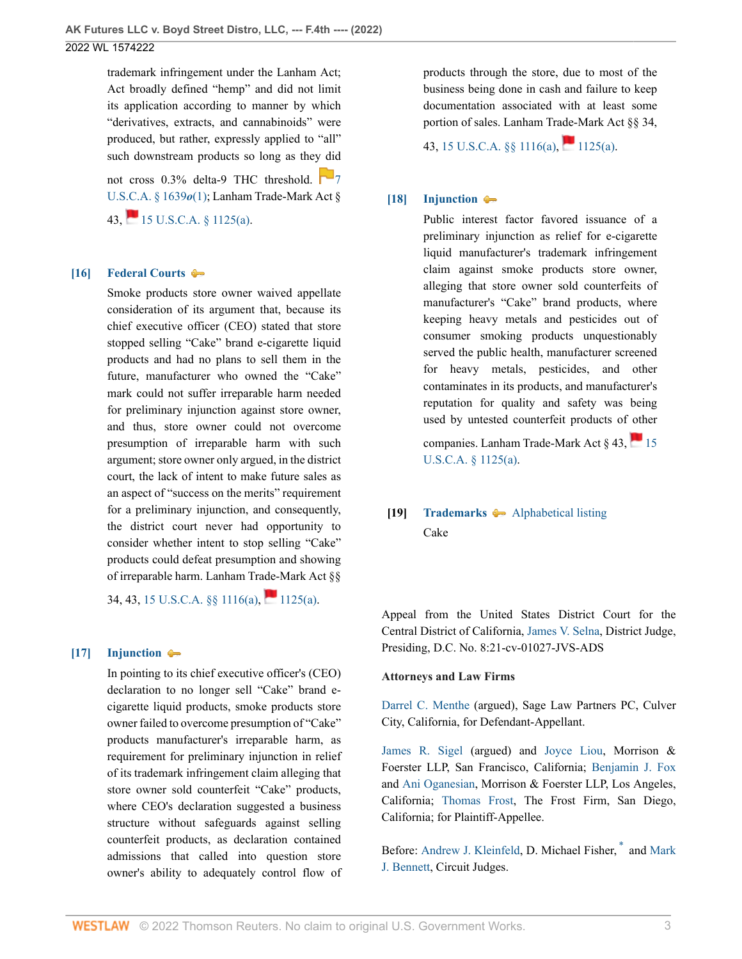trademark infringement under the Lanham Act; Act broadly defined "hemp" and did not limit its application according to manner by which "derivatives, extracts, and cannabinoids" were produced, but rather, expressly applied to "all" such downstream products so long as they did not cross  $0.3\%$  delta-9 THC threshold.  $\Box$  [7](http://www.westlaw.com/Link/Document/FullText?findType=L&pubNum=1000546&cite=7USCAS1639O&originatingDoc=Icc040370d7aa11ec8d48d9b78fa47086&refType=SP&originationContext=document&vr=3.0&rs=cblt1.0&transitionType=DocumentItem&contextData=(sc.UserEnteredCitation)#co_pp_f1c50000821b0) [U.S.C.A. § 1639](http://www.westlaw.com/Link/Document/FullText?findType=L&pubNum=1000546&cite=7USCAS1639O&originatingDoc=Icc040370d7aa11ec8d48d9b78fa47086&refType=SP&originationContext=document&vr=3.0&rs=cblt1.0&transitionType=DocumentItem&contextData=(sc.UserEnteredCitation)#co_pp_f1c50000821b0)*o*(1); Lanham Trade-Mark Act § 43,  $15 \text{ U.S. C.A. }$  § 1125(a).

### <span id="page-2-0"></span>**[\[16\]](#page-9-0) [Federal Courts](http://www.westlaw.com/Browse/Home/KeyNumber/170B/View.html?docGuid=Icc040370d7aa11ec8d48d9b78fa47086&originationContext=document&vr=3.0&rs=cblt1.0&transitionType=DocumentItem&contextData=(sc.UserEnteredCitation))**

Smoke products store owner waived appellate consideration of its argument that, because its chief executive officer (CEO) stated that store stopped selling "Cake" brand e-cigarette liquid products and had no plans to sell them in the future, manufacturer who owned the "Cake" mark could not suffer irreparable harm needed for preliminary injunction against store owner, and thus, store owner could not overcome presumption of irreparable harm with such argument; store owner only argued, in the district court, the lack of intent to make future sales as an aspect of "success on the merits" requirement for a preliminary injunction, and consequently, the district court never had opportunity to consider whether intent to stop selling "Cake" products could defeat presumption and showing of irreparable harm. Lanham Trade-Mark Act §§

34, 43, 15 U.S.C.A.  $\S$ [ 1116(a), [1125\(a\)](http://www.westlaw.com/Link/Document/FullText?findType=L&pubNum=1000546&cite=15USCAS1125&originatingDoc=Icc040370d7aa11ec8d48d9b78fa47086&refType=SP&originationContext=document&vr=3.0&rs=cblt1.0&transitionType=DocumentItem&contextData=(sc.UserEnteredCitation)#co_pp_8b3b0000958a4).

## <span id="page-2-1"></span>**[\[17\]](#page-9-1) [Injunction](http://www.westlaw.com/Browse/Home/KeyNumber/212/View.html?docGuid=Icc040370d7aa11ec8d48d9b78fa47086&originationContext=document&vr=3.0&rs=cblt1.0&transitionType=DocumentItem&contextData=(sc.UserEnteredCitation))**

In pointing to its chief executive officer's (CEO) declaration to no longer sell "Cake" brand ecigarette liquid products, smoke products store owner failed to overcome presumption of "Cake" products manufacturer's irreparable harm, as requirement for preliminary injunction in relief of its trademark infringement claim alleging that store owner sold counterfeit "Cake" products, where CEO's declaration suggested a business structure without safeguards against selling counterfeit products, as declaration contained admissions that called into question store owner's ability to adequately control flow of

products through the store, due to most of the business being done in cash and failure to keep documentation associated with at least some portion of sales. Lanham Trade-Mark Act §§ 34,

43, 15 U.S.C.A.  $\S$  1116(a), [1125\(a\)](http://www.westlaw.com/Link/Document/FullText?findType=L&pubNum=1000546&cite=15USCAS1125&originatingDoc=Icc040370d7aa11ec8d48d9b78fa47086&refType=SP&originationContext=document&vr=3.0&rs=cblt1.0&transitionType=DocumentItem&contextData=(sc.UserEnteredCitation)#co_pp_8b3b0000958a4).

## <span id="page-2-2"></span>**[\[18\]](#page-10-0) [Injunction](http://www.westlaw.com/Browse/Home/KeyNumber/212/View.html?docGuid=Icc040370d7aa11ec8d48d9b78fa47086&originationContext=document&vr=3.0&rs=cblt1.0&transitionType=DocumentItem&contextData=(sc.UserEnteredCitation))**

Public interest factor favored issuance of a preliminary injunction as relief for e-cigarette liquid manufacturer's trademark infringement claim against smoke products store owner, alleging that store owner sold counterfeits of manufacturer's "Cake" brand products, where keeping heavy metals and pesticides out of consumer smoking products unquestionably served the public health, manufacturer screened for heavy metals, pesticides, and other contaminates in its products, and manufacturer's reputation for quality and safety was being used by untested counterfeit products of other

companies. Lanham Trade-Mark Act § 43,  $\blacksquare$  [15](http://www.westlaw.com/Link/Document/FullText?findType=L&pubNum=1000546&cite=15USCAS1125&originatingDoc=Icc040370d7aa11ec8d48d9b78fa47086&refType=SP&originationContext=document&vr=3.0&rs=cblt1.0&transitionType=DocumentItem&contextData=(sc.UserEnteredCitation)#co_pp_8b3b0000958a4) [U.S.C.A. § 1125\(a\).](http://www.westlaw.com/Link/Document/FullText?findType=L&pubNum=1000546&cite=15USCAS1125&originatingDoc=Icc040370d7aa11ec8d48d9b78fa47086&refType=SP&originationContext=document&vr=3.0&rs=cblt1.0&transitionType=DocumentItem&contextData=(sc.UserEnteredCitation)#co_pp_8b3b0000958a4)

# **[19] [Trademarks](http://www.westlaw.com/Browse/Home/KeyNumber/382T/View.html?docGuid=Icc040370d7aa11ec8d48d9b78fa47086&originationContext=document&vr=3.0&rs=cblt1.0&transitionType=DocumentItem&contextData=(sc.UserEnteredCitation))** [Alphabetical listing](http://www.westlaw.com/Browse/Home/KeyNumber/382Tk1800/View.html?docGuid=Icc040370d7aa11ec8d48d9b78fa47086&originationContext=document&vr=3.0&rs=cblt1.0&transitionType=DocumentItem&contextData=(sc.UserEnteredCitation)) Cake

Appeal from the United States District Court for the Central District of California, [James V. Selna,](http://www.westlaw.com/Link/Document/FullText?findType=h&pubNum=176284&cite=0331072101&originatingDoc=Icc040370d7aa11ec8d48d9b78fa47086&refType=RQ&originationContext=document&vr=3.0&rs=cblt1.0&transitionType=DocumentItem&contextData=(sc.UserEnteredCitation)) District Judge, Presiding, D.C. No. 8:21-cv-01027-JVS-ADS

### **Attorneys and Law Firms**

[Darrel C. Menthe](http://www.westlaw.com/Link/Document/FullText?findType=h&pubNum=176284&cite=0334117301&originatingDoc=Icc040370d7aa11ec8d48d9b78fa47086&refType=RQ&originationContext=document&vr=3.0&rs=cblt1.0&transitionType=DocumentItem&contextData=(sc.UserEnteredCitation)) (argued), Sage Law Partners PC, Culver City, California, for Defendant-Appellant.

[James R. Sigel](http://www.westlaw.com/Link/Document/FullText?findType=h&pubNum=176284&cite=0497958099&originatingDoc=Icc040370d7aa11ec8d48d9b78fa47086&refType=RQ&originationContext=document&vr=3.0&rs=cblt1.0&transitionType=DocumentItem&contextData=(sc.UserEnteredCitation)) (argued) and [Joyce Liou,](http://www.westlaw.com/Link/Document/FullText?findType=h&pubNum=176284&cite=0454565401&originatingDoc=Icc040370d7aa11ec8d48d9b78fa47086&refType=RQ&originationContext=document&vr=3.0&rs=cblt1.0&transitionType=DocumentItem&contextData=(sc.UserEnteredCitation)) Morrison & Foerster LLP, San Francisco, California; [Benjamin J. Fox](http://www.westlaw.com/Link/Document/FullText?findType=h&pubNum=176284&cite=0270220401&originatingDoc=Icc040370d7aa11ec8d48d9b78fa47086&refType=RQ&originationContext=document&vr=3.0&rs=cblt1.0&transitionType=DocumentItem&contextData=(sc.UserEnteredCitation)) and [Ani Oganesian](http://www.westlaw.com/Link/Document/FullText?findType=h&pubNum=176284&cite=0526702301&originatingDoc=Icc040370d7aa11ec8d48d9b78fa47086&refType=RQ&originationContext=document&vr=3.0&rs=cblt1.0&transitionType=DocumentItem&contextData=(sc.UserEnteredCitation)), Morrison & Foerster LLP, Los Angeles, California; [Thomas Frost,](http://www.westlaw.com/Link/Document/FullText?findType=h&pubNum=176284&cite=0474028401&originatingDoc=Icc040370d7aa11ec8d48d9b78fa47086&refType=RQ&originationContext=document&vr=3.0&rs=cblt1.0&transitionType=DocumentItem&contextData=(sc.UserEnteredCitation)) The Frost Firm, San Diego, California; for Plaintiff-Appellee.

<span id="page-2-3"></span>Before: [Andrew J. Kleinfeld](http://www.westlaw.com/Link/Document/FullText?findType=h&pubNum=176284&cite=0264307901&originatingDoc=Icc040370d7aa11ec8d48d9b78fa47086&refType=RQ&originationContext=document&vr=3.0&rs=cblt1.0&transitionType=DocumentItem&contextData=(sc.UserEnteredCitation)), D. Michael Fisher,  $*$  and [Mark](http://www.westlaw.com/Link/Document/FullText?findType=h&pubNum=176284&cite=0509840301&originatingDoc=Icc040370d7aa11ec8d48d9b78fa47086&refType=RQ&originationContext=document&vr=3.0&rs=cblt1.0&transitionType=DocumentItem&contextData=(sc.UserEnteredCitation)) [J. Bennett,](http://www.westlaw.com/Link/Document/FullText?findType=h&pubNum=176284&cite=0509840301&originatingDoc=Icc040370d7aa11ec8d48d9b78fa47086&refType=RQ&originationContext=document&vr=3.0&rs=cblt1.0&transitionType=DocumentItem&contextData=(sc.UserEnteredCitation)) Circuit Judges.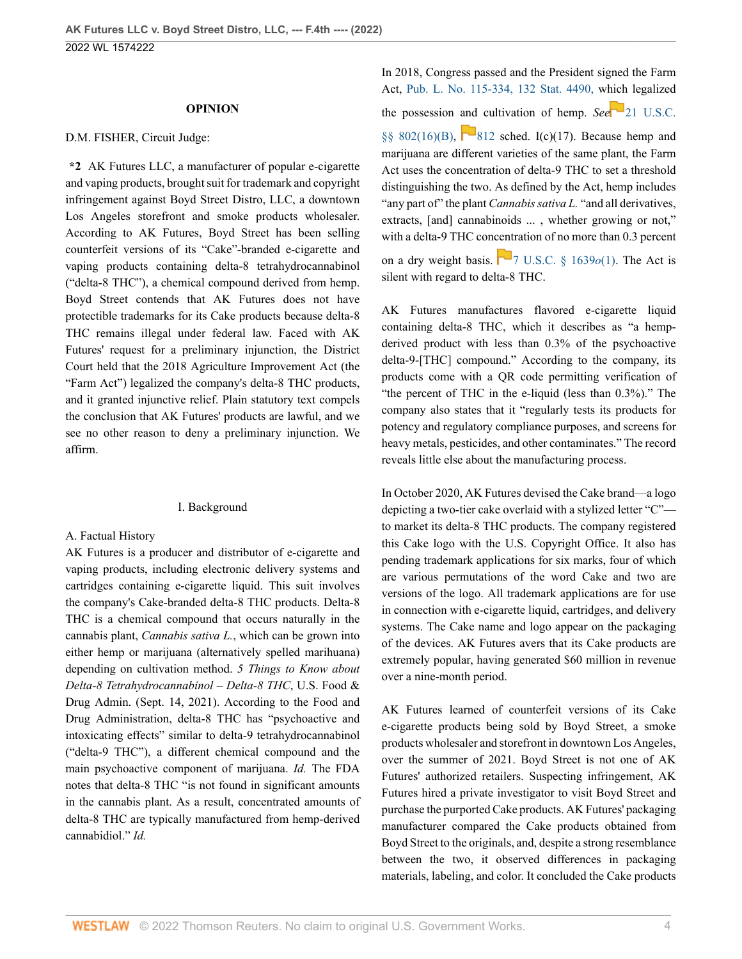#### **OPINION**

#### D.M. FISHER, Circuit Judge:

**\*2** AK Futures LLC, a manufacturer of popular e-cigarette and vaping products, brought suit for trademark and copyright infringement against Boyd Street Distro, LLC, a downtown Los Angeles storefront and smoke products wholesaler. According to AK Futures, Boyd Street has been selling counterfeit versions of its "Cake"-branded e-cigarette and vaping products containing delta-8 tetrahydrocannabinol ("delta-8 THC"), a chemical compound derived from hemp. Boyd Street contends that AK Futures does not have protectible trademarks for its Cake products because delta-8 THC remains illegal under federal law. Faced with AK Futures' request for a preliminary injunction, the District Court held that the 2018 Agriculture Improvement Act (the "Farm Act") legalized the company's delta-8 THC products, and it granted injunctive relief. Plain statutory text compels the conclusion that AK Futures' products are lawful, and we see no other reason to deny a preliminary injunction. We affirm.

#### I. Background

#### A. Factual History

AK Futures is a producer and distributor of e-cigarette and vaping products, including electronic delivery systems and cartridges containing e-cigarette liquid. This suit involves the company's Cake-branded delta-8 THC products. Delta-8 THC is a chemical compound that occurs naturally in the cannabis plant, *Cannabis sativa L.*, which can be grown into either hemp or marijuana (alternatively spelled marihuana) depending on cultivation method. *5 Things to Know about Delta-8 Tetrahydrocannabinol – Delta-8 THC*, U.S. Food & Drug Admin. (Sept. 14, 2021). According to the Food and Drug Administration, delta-8 THC has "psychoactive and intoxicating effects" similar to delta-9 tetrahydrocannabinol ("delta-9 THC"), a different chemical compound and the main psychoactive component of marijuana. *Id.* The FDA notes that delta-8 THC "is not found in significant amounts in the cannabis plant. As a result, concentrated amounts of delta-8 THC are typically manufactured from hemp-derived cannabidiol." *Id.*

In 2018, Congress passed and the President signed the Farm Act, [Pub. L. No. 115-334, 132 Stat. 4490,](http://www.westlaw.com/Link/Document/FullText?findType=l&pubNum=1077005&cite=UUID(I3A148770FF-8411E8B3EFD-314068637B0)&originatingDoc=Icc040370d7aa11ec8d48d9b78fa47086&refType=SL&originationContext=document&vr=3.0&rs=cblt1.0&transitionType=DocumentItem&contextData=(sc.UserEnteredCitation)) w[hich](https://1.next.westlaw.com/Link/RelatedInformation/Flag?documentGuid=N5941D3E024CE11E9B8D780BEC40D8002&transitionType=InlineKeyCiteFlags&originationContext=docHeaderFlag&Rank=0&ppcid=60f9b16838e345d6823c00f84c157169&contextData=(sc.UserEnteredCitation) ) legalized

the possession and cultivation of hemp. *See* [21 U.S.C.](http://www.westlaw.com/Link/Document/FullText?findType=L&pubNum=1000546&cite=21USCAS802&originatingDoc=Icc040370d7aa11ec8d48d9b78fa47086&refType=RB&originationContext=document&vr=3.0&rs=cblt1.0&transitionType=DocumentItem&contextData=(sc.UserEnteredCitation)#co_pp_99eb00002e1a0)

[§§ 802\(16\)\(B\)](http://www.westlaw.com/Link/Document/FullText?findType=L&pubNum=1000546&cite=21USCAS802&originatingDoc=Icc040370d7aa11ec8d48d9b78fa47086&refType=RB&originationContext=document&vr=3.0&rs=cblt1.0&transitionType=DocumentItem&contextData=(sc.UserEnteredCitation)#co_pp_99eb00002e1a0),  $\blacksquare$ [812](http://www.westlaw.com/Link/Document/FullText?findType=L&pubNum=1000546&cite=21USCAS812&originatingDoc=Icc040370d7aa11ec8d48d9b78fa47086&refType=LQ&originationContext=document&vr=3.0&rs=cblt1.0&transitionType=DocumentItem&contextData=(sc.UserEnteredCitation)) sched. I(c)(17). Because hemp and marijuana are different varieties of the same plant, the Farm Act uses the concentration of delta-9 THC to set a threshold distinguishing the two. As defined by the Act, hemp includes "any part of" the plant *Cannabis sativa L.* "and all derivatives, extracts, [and] cannabinoids ... , whether growing or not," with a delta-9 THC concentration of no more than 0.3 percent on a dry weight basis.  $\Box$  [7 U.S.C. § 1639](http://www.westlaw.com/Link/Document/FullText?findType=L&pubNum=1000546&cite=7USCAS1639O&originatingDoc=Icc040370d7aa11ec8d48d9b78fa47086&refType=RB&originationContext=document&vr=3.0&rs=cblt1.0&transitionType=DocumentItem&contextData=(sc.UserEnteredCitation)#co_pp_f1c50000821b0) $o(1)$ . The Act is silent with regard to delta-8 THC.

AK Futures manufactures flavored e-cigarette liquid containing delta-8 THC, which it describes as "a hempderived product with less than 0.3% of the psychoactive delta-9-[THC] compound." According to the company, its products come with a QR code permitting verification of "the percent of THC in the e-liquid (less than 0.3%)." The company also states that it "regularly tests its products for potency and regulatory compliance purposes, and screens for heavy metals, pesticides, and other contaminates." The record reveals little else about the manufacturing process.

In October 2020, AK Futures devised the Cake brand—a logo depicting a two-tier cake overlaid with a stylized letter "C" to market its delta-8 THC products. The company registered this Cake logo with the U.S. Copyright Office. It also has pending trademark applications for six marks, four of which are various permutations of the word Cake and two are versions of the logo. All trademark applications are for use in connection with e-cigarette liquid, cartridges, and delivery systems. The Cake name and logo appear on the packaging of the devices. AK Futures avers that its Cake products are extremely popular, having generated \$60 million in revenue over a nine-month period.

AK Futures learned of counterfeit versions of its Cake e-cigarette products being sold by Boyd Street, a smoke products wholesaler and storefront in downtown Los Angeles, over the summer of 2021. Boyd Street is not one of AK Futures' authorized retailers. Suspecting infringement, AK Futures hired a private investigator to visit Boyd Street and purchase the purported Cake products. AK Futures' packaging manufacturer compared the Cake products obtained from Boyd Street to the originals, and, despite a strong resemblance between the two, it observed differences in packaging materials, labeling, and color. It concluded the Cake products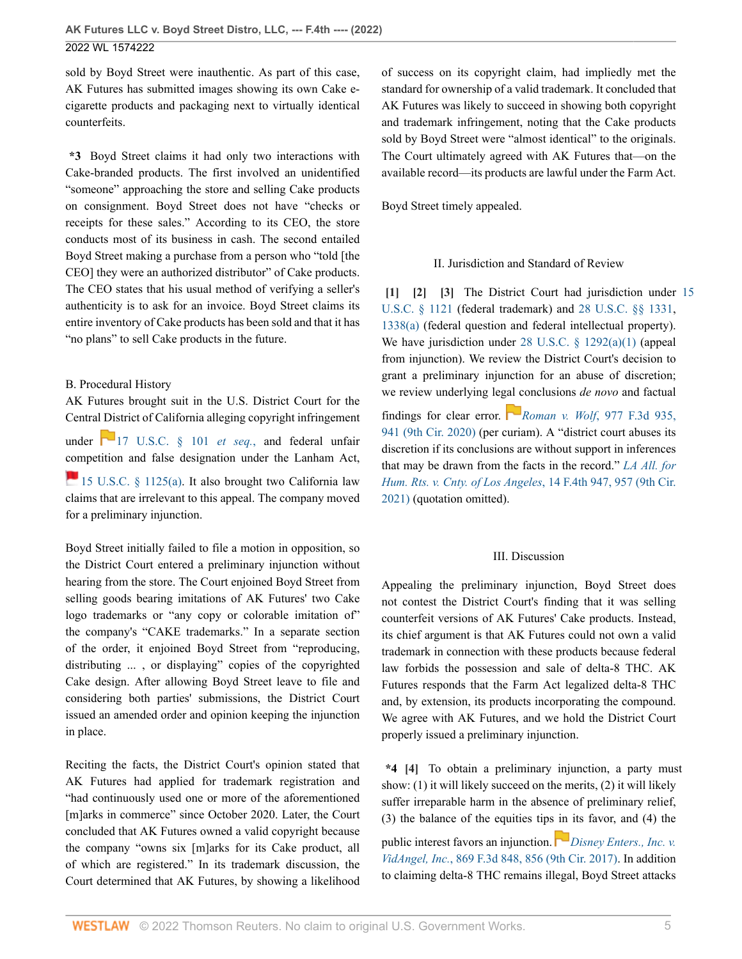sold by Boyd Street were inauthentic. As part of this case, AK Futures has submitted images showing its own Cake ecigarette products and packaging next to virtually identical counterfeits.

**\*3** Boyd Street claims it had only two interactions with Cake-branded products. The first involved an unidentified "someone" approaching the store and selling Cake products on consignment. Boyd Street does not have "checks or receipts for these sales." According to its CEO, the store conducts most of its business in cash. The second entailed Boyd Street making a purchase from a person who "told [the CEO] they were an authorized distributor" of Cake products. The CEO states that his usual method of verifying a seller's authenticity is to ask for an invoice. Boyd Street claims its entire inventory of Cake products has been sold and that it has "no plans" to sell Cake products in the future.

### B. Procedural History

AK Futures brought suit in the U.S. District Court for the Central District of California alleging copyright infringement under [17 U.S.C. § 101](http://www.westlaw.com/Link/Document/FullText?findType=L&pubNum=1000546&cite=17USCAS101&originatingDoc=Icc040370d7aa11ec8d48d9b78fa47086&refType=LQ&originationContext=document&vr=3.0&rs=cblt1.0&transitionType=DocumentItem&contextData=(sc.UserEnteredCitation)) *et seq.*, and federal unfair [com](http://www.westlaw.com/Link/Document/FullText?findType=L&pubNum=1000546&cite=15USCAS1125&originatingDoc=Icc040370d7aa11ec8d48d9b78fa47086&refType=RB&originationContext=document&vr=3.0&rs=cblt1.0&transitionType=DocumentItem&contextData=(sc.UserEnteredCitation)#co_pp_8b3b0000958a4)petition and false designation under the Lanham Act, [15 U.S.C. § 1125\(a\)](http://www.westlaw.com/Link/Document/FullText?findType=L&pubNum=1000546&cite=15USCAS1125&originatingDoc=Icc040370d7aa11ec8d48d9b78fa47086&refType=RB&originationContext=document&vr=3.0&rs=cblt1.0&transitionType=DocumentItem&contextData=(sc.UserEnteredCitation)#co_pp_8b3b0000958a4). It also brought two California law claims that are irrelevant to this appeal. The company moved for a preliminary injunction.

Boyd Street initially failed to file a motion in opposition, so the District Court entered a preliminary injunction without hearing from the store. The Court enjoined Boyd Street from selling goods bearing imitations of AK Futures' two Cake logo trademarks or "any copy or colorable imitation of" the company's "CAKE trademarks." In a separate section of the order, it enjoined Boyd Street from "reproducing, distributing ... , or displaying" copies of the copyrighted Cake design. After allowing Boyd Street leave to file and considering both parties' submissions, the District Court issued an amended order and opinion keeping the injunction in place.

Reciting the facts, the District Court's opinion stated that AK Futures had applied for trademark registration and "had continuously used one or more of the aforementioned [m]arks in commerce" since October 2020. Later, the Court concluded that AK Futures owned a valid copyright because the company "owns six [m]arks for its Cake product, all of which are registered." In its trademark discussion, the Court determined that AK Futures, by showing a likelihood

of success on its copyright claim, had impliedly met the standard for ownership of a valid trademark. It concluded that AK Futures was likely to succeed in showing both copyright and trademark infringement, noting that the Cake products sold by Boyd Street were "almost identical" to the originals. The Court ultimately agreed with AK Futures that—on the available record—its products are lawful under the Farm Act.

Boyd Street timely appealed.

## <span id="page-4-2"></span><span id="page-4-1"></span>II. Jurisdiction and Standard of Review

<span id="page-4-0"></span>**[\[1\]](#page-0-0) [\[2\]](#page-0-1) [\[3\]](#page-0-2)** The District Court had jurisdiction under [15](http://www.westlaw.com/Link/Document/FullText?findType=L&pubNum=1000546&cite=15USCAS1121&originatingDoc=Icc040370d7aa11ec8d48d9b78fa47086&refType=LQ&originationContext=document&vr=3.0&rs=cblt1.0&transitionType=DocumentItem&contextData=(sc.UserEnteredCitation)) [U.S.C. § 1121](http://www.westlaw.com/Link/Document/FullText?findType=L&pubNum=1000546&cite=15USCAS1121&originatingDoc=Icc040370d7aa11ec8d48d9b78fa47086&refType=LQ&originationContext=document&vr=3.0&rs=cblt1.0&transitionType=DocumentItem&contextData=(sc.UserEnteredCitation)) (federal trademark) and [28 U.S.C. §§ 1331](http://www.westlaw.com/Link/Document/FullText?findType=L&pubNum=1000546&cite=28USCAS1331&originatingDoc=Icc040370d7aa11ec8d48d9b78fa47086&refType=LQ&originationContext=document&vr=3.0&rs=cblt1.0&transitionType=DocumentItem&contextData=(sc.UserEnteredCitation)), [1338\(a\)](http://www.westlaw.com/Link/Document/FullText?findType=L&pubNum=1000546&cite=28USCAS1338&originatingDoc=Icc040370d7aa11ec8d48d9b78fa47086&refType=RB&originationContext=document&vr=3.0&rs=cblt1.0&transitionType=DocumentItem&contextData=(sc.UserEnteredCitation)#co_pp_8b3b0000958a4) (federal question and federal intellectual property). We have jurisdiction under [28 U.S.C. § 1292\(a\)\(1\)](http://www.westlaw.com/Link/Document/FullText?findType=L&pubNum=1000546&cite=28USCAS1292&originatingDoc=Icc040370d7aa11ec8d48d9b78fa47086&refType=RB&originationContext=document&vr=3.0&rs=cblt1.0&transitionType=DocumentItem&contextData=(sc.UserEnteredCitation)#co_pp_7b9b000044381) (appeal from injunction). We review the District Court's decision to grant a preliminary injunction for an abuse of discretion; we review underlying le[gal c](https://1.next.westlaw.com/Link/RelatedInformation/Flag?documentGuid=I395e6a400d9111ebb0bbcfa37ab37316&transitionType=InlineKeyCiteFlags&originationContext=docHeaderFlag&Rank=0&ppcid=60f9b16838e345d6823c00f84c157169&contextData=(sc.UserEnteredCitation) )onclusions *de novo* and factual

findings for clear error. *Roman v. Wolf*[, 977 F.3d 935,](http://www.westlaw.com/Link/Document/FullText?findType=Y&serNum=2052144469&pubNum=0000506&originatingDoc=Icc040370d7aa11ec8d48d9b78fa47086&refType=RP&fi=co_pp_sp_506_941&originationContext=document&vr=3.0&rs=cblt1.0&transitionType=DocumentItem&contextData=(sc.UserEnteredCitation)#co_pp_sp_506_941) [941 \(9th Cir. 2020\)](http://www.westlaw.com/Link/Document/FullText?findType=Y&serNum=2052144469&pubNum=0000506&originatingDoc=Icc040370d7aa11ec8d48d9b78fa47086&refType=RP&fi=co_pp_sp_506_941&originationContext=document&vr=3.0&rs=cblt1.0&transitionType=DocumentItem&contextData=(sc.UserEnteredCitation)#co_pp_sp_506_941) (per curiam). A "district court abuses its discretion if its conclusions are without support in inferences that may be drawn from the facts in the record." *[LA All. for](http://www.westlaw.com/Link/Document/FullText?findType=Y&serNum=2054559607&pubNum=0008173&originatingDoc=Icc040370d7aa11ec8d48d9b78fa47086&refType=RP&fi=co_pp_sp_8173_957&originationContext=document&vr=3.0&rs=cblt1.0&transitionType=DocumentItem&contextData=(sc.UserEnteredCitation)#co_pp_sp_8173_957) [Hum. Rts. v. Cnty. of Los Angeles](http://www.westlaw.com/Link/Document/FullText?findType=Y&serNum=2054559607&pubNum=0008173&originatingDoc=Icc040370d7aa11ec8d48d9b78fa47086&refType=RP&fi=co_pp_sp_8173_957&originationContext=document&vr=3.0&rs=cblt1.0&transitionType=DocumentItem&contextData=(sc.UserEnteredCitation)#co_pp_sp_8173_957)*, 14 F.4th 947, 957 (9th Cir. [2021\)](http://www.westlaw.com/Link/Document/FullText?findType=Y&serNum=2054559607&pubNum=0008173&originatingDoc=Icc040370d7aa11ec8d48d9b78fa47086&refType=RP&fi=co_pp_sp_8173_957&originationContext=document&vr=3.0&rs=cblt1.0&transitionType=DocumentItem&contextData=(sc.UserEnteredCitation)#co_pp_sp_8173_957) (quotation omitted).

### III. Discussion

Appealing the preliminary injunction, Boyd Street does not contest the District Court's finding that it was selling counterfeit versions of AK Futures' Cake products. Instead, its chief argument is that AK Futures could not own a valid trademark in connection with these products because federal law forbids the possession and sale of delta-8 THC. AK Futures responds that the Farm Act legalized delta-8 THC and, by extension, its products incorporating the compound. We agree with AK Futures, and we hold the District Court properly issued a preliminary injunction.

<span id="page-4-3"></span>**\*4 [\[4\]](#page-0-3)** To obtain a preliminary injunction, a party must show: (1) it will likely succeed on the merits, (2) it will likely suffer irreparable harm in the absence of preliminary relief, (3) the balance of the equities tips [in](https://1.next.westlaw.com/Link/RelatedInformation/Flag?documentGuid=I75a4c37088e511e79e029b6011d84ab0&transitionType=InlineKeyCiteFlags&originationContext=docHeaderFlag&Rank=0&ppcid=60f9b16838e345d6823c00f84c157169&contextData=(sc.UserEnteredCitation) ) its favor, and (4) the

public interest favors an injunction. *[Disney Enters., Inc. v.](http://www.westlaw.com/Link/Document/FullText?findType=Y&serNum=2042406450&pubNum=0000506&originatingDoc=Icc040370d7aa11ec8d48d9b78fa47086&refType=RP&fi=co_pp_sp_506_856&originationContext=document&vr=3.0&rs=cblt1.0&transitionType=DocumentItem&contextData=(sc.UserEnteredCitation)#co_pp_sp_506_856) VidAngel, Inc.*[, 869 F.3d 848, 856 \(9th Cir. 2017\).](http://www.westlaw.com/Link/Document/FullText?findType=Y&serNum=2042406450&pubNum=0000506&originatingDoc=Icc040370d7aa11ec8d48d9b78fa47086&refType=RP&fi=co_pp_sp_506_856&originationContext=document&vr=3.0&rs=cblt1.0&transitionType=DocumentItem&contextData=(sc.UserEnteredCitation)#co_pp_sp_506_856) In addition to claiming delta-8 THC remains illegal, Boyd Street attacks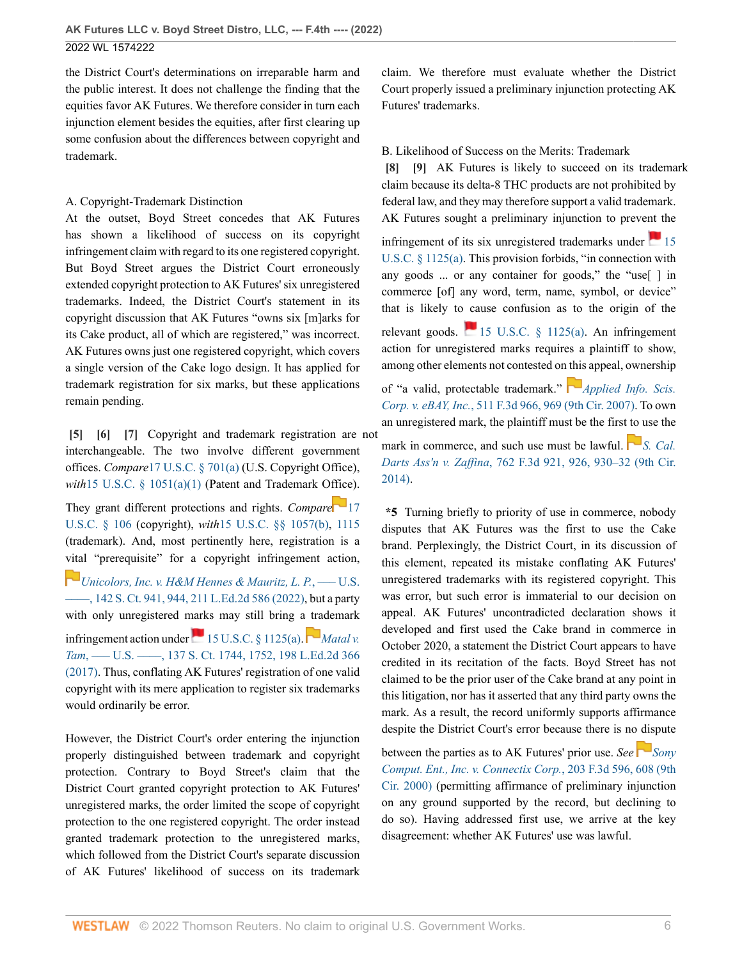the District Court's determinations on irreparable harm and the public interest. It does not challenge the finding that the equities favor AK Futures. We therefore consider in turn each injunction element besides the equities, after first clearing up some confusion about the differences between copyright and trademark.

## A. Copyright-Trademark Distinction

At the outset, Boyd Street concedes that AK Futures has shown a likelihood of success on its copyright infringement claim with regard to its one registered copyright. But Boyd Street argues the District Court erroneously extended copyright protection to AK Futures' six unregistered trademarks. Indeed, the District Court's statement in its copyright discussion that AK Futures "owns six [m]arks for its Cake product, all of which are registered," was incorrect. AK Futures owns just one registered copyright, which covers a single version of the Cake logo design. It has applied for trademark registration for six marks, but these applications remain pending.

<span id="page-5-2"></span><span id="page-5-1"></span><span id="page-5-0"></span>**[\[5\]](#page-0-4) [\[6\]](#page-0-5) [\[7\]](#page-1-2)** Copyright and trademark registration are not interchangeable. The two involve different government offices. *Compare*[17 U.S.C. § 701\(a\)](http://www.westlaw.com/Link/Document/FullText?findType=L&pubNum=1000546&cite=17USCAS701&originatingDoc=Icc040370d7aa11ec8d48d9b78fa47086&refType=RB&originationContext=document&vr=3.0&rs=cblt1.0&transitionType=DocumentItem&contextData=(sc.UserEnteredCitation)#co_pp_8b3b0000958a4) (U.S. Copyright Office), *with*[15 U.S.C. § 1051\(a\)\(1\)](http://www.westlaw.com/Link/Document/FullText?findType=L&pubNum=1000546&cite=15USCAS1051&originatingDoc=Icc040370d7aa11ec8d48d9b78fa47086&refType=RB&originationContext=document&vr=3.0&rs=cblt1.0&transitionType=DocumentItem&contextData=(sc.UserEnteredCitation)#co_pp_7b9b000044381) (Patent and Trademark O[ffice](https://1.next.westlaw.com/Link/RelatedInformation/Flag?documentGuid=N64EE8AE0A06711D8B8FABFF7D35FC9C0&transitionType=InlineKeyCiteFlags&originationContext=docHeaderFlag&Rank=0&ppcid=60f9b16838e345d6823c00f84c157169&contextData=(sc.UserEnteredCitation) )).

They grant different protections and rights. *Compare* [17](http://www.westlaw.com/Link/Document/FullText?findType=L&pubNum=1000546&cite=17USCAS106&originatingDoc=Icc040370d7aa11ec8d48d9b78fa47086&refType=LQ&originationContext=document&vr=3.0&rs=cblt1.0&transitionType=DocumentItem&contextData=(sc.UserEnteredCitation)) [U.S.C. § 106](http://www.westlaw.com/Link/Document/FullText?findType=L&pubNum=1000546&cite=17USCAS106&originatingDoc=Icc040370d7aa11ec8d48d9b78fa47086&refType=LQ&originationContext=document&vr=3.0&rs=cblt1.0&transitionType=DocumentItem&contextData=(sc.UserEnteredCitation)) (copyright), *with*[15 U.S.C. §§ 1057\(b\)](http://www.westlaw.com/Link/Document/FullText?findType=L&pubNum=1000546&cite=15USCAS1057&originatingDoc=Icc040370d7aa11ec8d48d9b78fa47086&refType=RB&originationContext=document&vr=3.0&rs=cblt1.0&transitionType=DocumentItem&contextData=(sc.UserEnteredCitation)#co_pp_a83b000018c76), [1115](http://www.westlaw.com/Link/Document/FullText?findType=L&pubNum=1000546&cite=15USCAS1115&originatingDoc=Icc040370d7aa11ec8d48d9b78fa47086&refType=LQ&originationContext=document&vr=3.0&rs=cblt1.0&transitionType=DocumentItem&contextData=(sc.UserEnteredCitation)) (trademark). And, most pertinently here, registration is a [vita](https://1.next.westlaw.com/Link/RelatedInformation/Flag?documentGuid=I1b6f5f34956211ecb9c4afdeb0323b27&transitionType=InlineKeyCiteFlags&originationContext=docHeaderFlag&Rank=0&ppcid=60f9b16838e345d6823c00f84c157169&contextData=(sc.UserEnteredCitation) )l "prerequisite" for a copyright infringement action,

*[Unicolors, Inc. v. H&M Hennes & Mauritz, L. P.](http://www.westlaw.com/Link/Document/FullText?findType=Y&serNum=2055637256&pubNum=0000708&originatingDoc=Icc040370d7aa11ec8d48d9b78fa47086&refType=RP&fi=co_pp_sp_708_944&originationContext=document&vr=3.0&rs=cblt1.0&transitionType=DocumentItem&contextData=(sc.UserEnteredCitation)#co_pp_sp_708_944)*, ––– U.S. [––––, 142 S. Ct. 941, 944, 211 L.Ed.2d 586 \(2022\)](http://www.westlaw.com/Link/Document/FullText?findType=Y&serNum=2055637256&pubNum=0000708&originatingDoc=Icc040370d7aa11ec8d48d9b78fa47086&refType=RP&fi=co_pp_sp_708_944&originationContext=document&vr=3.0&rs=cblt1.0&transitionType=DocumentItem&contextData=(sc.UserEnteredCitation)#co_pp_sp_708_944), but a party with only unregistered marks may still bring a trademark infringementaction under  $\blacksquare$  [15 U.S.C. § 1125\(a\)](http://www.westlaw.com/Link/Document/FullText?findType=L&pubNum=1000546&cite=15USCAS1125&originatingDoc=Icc040370d7aa11ec8d48d9b78fa47086&refType=RB&originationContext=document&vr=3.0&rs=cblt1.0&transitionType=DocumentItem&contextData=(sc.UserEnteredCitation)#co_pp_8b3b0000958a4).  $\blacksquare$  *[Matal v.](http://www.westlaw.com/Link/Document/FullText?findType=Y&serNum=2041886068&pubNum=0000708&originatingDoc=Icc040370d7aa11ec8d48d9b78fa47086&refType=RP&fi=co_pp_sp_708_1752&originationContext=document&vr=3.0&rs=cblt1.0&transitionType=DocumentItem&contextData=(sc.UserEnteredCitation)#co_pp_sp_708_1752) Tam*[, ––– U.S. ––––, 137 S. Ct. 1744, 1752, 198 L.Ed.2d 366](http://www.westlaw.com/Link/Document/FullText?findType=Y&serNum=2041886068&pubNum=0000708&originatingDoc=Icc040370d7aa11ec8d48d9b78fa47086&refType=RP&fi=co_pp_sp_708_1752&originationContext=document&vr=3.0&rs=cblt1.0&transitionType=DocumentItem&contextData=(sc.UserEnteredCitation)#co_pp_sp_708_1752) [\(2017\).](http://www.westlaw.com/Link/Document/FullText?findType=Y&serNum=2041886068&pubNum=0000708&originatingDoc=Icc040370d7aa11ec8d48d9b78fa47086&refType=RP&fi=co_pp_sp_708_1752&originationContext=document&vr=3.0&rs=cblt1.0&transitionType=DocumentItem&contextData=(sc.UserEnteredCitation)#co_pp_sp_708_1752) Thus, conflating AK Futures' registration of one valid copyright with its mere application to register six trademarks would ordinarily be error.

However, the District Court's order entering the injunction properly distinguished between trademark and copyright protection. Contrary to Boyd Street's claim that the District Court granted copyright protection to AK Futures' unregistered marks, the order limited the scope of copyright protection to the one registered copyright. The order instead granted trademark protection to the unregistered marks, which followed from the District Court's separate discussion of AK Futures' likelihood of success on its trademark claim. We therefore must evaluate whether the District Court properly issued a preliminary injunction protecting AK Futures' trademarks.

# B. Likelihood of Success on the Merits: Trademark

<span id="page-5-4"></span><span id="page-5-3"></span>**[\[8\]](#page-1-3) [\[9\]](#page-1-4)** AK Futures is likely to succeed on its trademark claim because its delta-8 THC products are not prohibited by federal law, and they may therefore support a valid trademark. AK Futures sought a preliminary injunction to prevent the

infringement of its six unregistered trademarks under  $\sim$  [15](http://www.westlaw.com/Link/Document/FullText?findType=L&pubNum=1000546&cite=15USCAS1125&originatingDoc=Icc040370d7aa11ec8d48d9b78fa47086&refType=RB&originationContext=document&vr=3.0&rs=cblt1.0&transitionType=DocumentItem&contextData=(sc.UserEnteredCitation)#co_pp_8b3b0000958a4) [U.S.C. § 1125\(a\)](http://www.westlaw.com/Link/Document/FullText?findType=L&pubNum=1000546&cite=15USCAS1125&originatingDoc=Icc040370d7aa11ec8d48d9b78fa47086&refType=RB&originationContext=document&vr=3.0&rs=cblt1.0&transitionType=DocumentItem&contextData=(sc.UserEnteredCitation)#co_pp_8b3b0000958a4). This provision forbids, "in connection with any goods ... or any container for goods," the "use[ ] in commerce [of] any word, term, name, symbol, or device" that is likely to cause confusion as to the origin of the relevant goods.  $\Box$  [15 U.S.C. § 1125\(a\)](http://www.westlaw.com/Link/Document/FullText?findType=L&pubNum=1000546&cite=15USCAS1125&originatingDoc=Icc040370d7aa11ec8d48d9b78fa47086&refType=RB&originationContext=document&vr=3.0&rs=cblt1.0&transitionType=DocumentItem&contextData=(sc.UserEnteredCitation)#co_pp_8b3b0000958a4). An infringement action for unregistered marks requires a plaintiff to show, among other elements not contested on [this](https://1.next.westlaw.com/Link/RelatedInformation/Flag?documentGuid=I5c001223b54d11dcb595a478de34cd72&transitionType=InlineKeyCiteFlags&originationContext=docHeaderFlag&Rank=0&ppcid=60f9b16838e345d6823c00f84c157169&contextData=(sc.UserEnteredCitation) ) appeal, ownership of "a valid, protectable trademark." *[Applied Info. Scis.](http://www.westlaw.com/Link/Document/FullText?findType=Y&serNum=2014512148&pubNum=0000506&originatingDoc=Icc040370d7aa11ec8d48d9b78fa47086&refType=RP&fi=co_pp_sp_506_969&originationContext=document&vr=3.0&rs=cblt1.0&transitionType=DocumentItem&contextData=(sc.UserEnteredCitation)#co_pp_sp_506_969) Corp. v. eBAY, Inc.*[, 511 F.3d 966, 969 \(9th Cir. 2007\).](http://www.westlaw.com/Link/Document/FullText?findType=Y&serNum=2014512148&pubNum=0000506&originatingDoc=Icc040370d7aa11ec8d48d9b78fa47086&refType=RP&fi=co_pp_sp_506_969&originationContext=document&vr=3.0&rs=cblt1.0&transitionType=DocumentItem&contextData=(sc.UserEnteredCitation)#co_pp_sp_506_969) To own an unregistered mark, the plaintiff must be the first [to u](https://1.next.westlaw.com/Link/RelatedInformation/Flag?documentGuid=I47e392ea218911e4b86bd602cb8781fa&transitionType=InlineKeyCiteFlags&originationContext=docHeaderFlag&Rank=0&ppcid=60f9b16838e345d6823c00f84c157169&contextData=(sc.UserEnteredCitation) )se the

mark in commerce, and such use must be lawful. **S.** Cal. *Darts Ass'n v. Zaffina*[, 762 F.3d 921, 926, 930–32 \(9th Cir.](http://www.westlaw.com/Link/Document/FullText?findType=Y&serNum=2034067806&pubNum=0000506&originatingDoc=Icc040370d7aa11ec8d48d9b78fa47086&refType=RP&fi=co_pp_sp_506_926&originationContext=document&vr=3.0&rs=cblt1.0&transitionType=DocumentItem&contextData=(sc.UserEnteredCitation)#co_pp_sp_506_926) [2014\)](http://www.westlaw.com/Link/Document/FullText?findType=Y&serNum=2034067806&pubNum=0000506&originatingDoc=Icc040370d7aa11ec8d48d9b78fa47086&refType=RP&fi=co_pp_sp_506_926&originationContext=document&vr=3.0&rs=cblt1.0&transitionType=DocumentItem&contextData=(sc.UserEnteredCitation)#co_pp_sp_506_926).

**\*5** Turning briefly to priority of use in commerce, nobody disputes that AK Futures was the first to use the Cake brand. Perplexingly, the District Court, in its discussion of this element, repeated its mistake conflating AK Futures' unregistered trademarks with its registered copyright. This was error, but such error is immaterial to our decision on appeal. AK Futures' uncontradicted declaration shows it developed and first used the Cake brand in commerce in October 2020, a statement the District Court appears to have credited in its recitation of the facts. Boyd Street has not claimed to be the prior user of the Cake brand at any point in this litigation, nor has it asserted that any third party owns the mark. As a result, the record uniformly supports affirmance despite the District Court's error because there is no dispute

between the parties as to AK Futures' prior use. *See [Sony](http://www.westlaw.com/Link/Document/FullText?findType=Y&serNum=2000051419&pubNum=0000506&originatingDoc=Icc040370d7aa11ec8d48d9b78fa47086&refType=RP&fi=co_pp_sp_506_608&originationContext=document&vr=3.0&rs=cblt1.0&transitionType=DocumentItem&contextData=(sc.UserEnteredCitation)#co_pp_sp_506_608) [Comput. Ent., Inc. v. Connectix Corp.](http://www.westlaw.com/Link/Document/FullText?findType=Y&serNum=2000051419&pubNum=0000506&originatingDoc=Icc040370d7aa11ec8d48d9b78fa47086&refType=RP&fi=co_pp_sp_506_608&originationContext=document&vr=3.0&rs=cblt1.0&transitionType=DocumentItem&contextData=(sc.UserEnteredCitation)#co_pp_sp_506_608)*, 203 F.3d 596, 608 (9th [Cir. 2000\)](http://www.westlaw.com/Link/Document/FullText?findType=Y&serNum=2000051419&pubNum=0000506&originatingDoc=Icc040370d7aa11ec8d48d9b78fa47086&refType=RP&fi=co_pp_sp_506_608&originationContext=document&vr=3.0&rs=cblt1.0&transitionType=DocumentItem&contextData=(sc.UserEnteredCitation)#co_pp_sp_506_608) (permitting affirmance of preliminary injunction on any ground supported by the record, but declining to do so). Having addressed first use, we arrive at the key disagreement: whether AK Futures' use was lawful.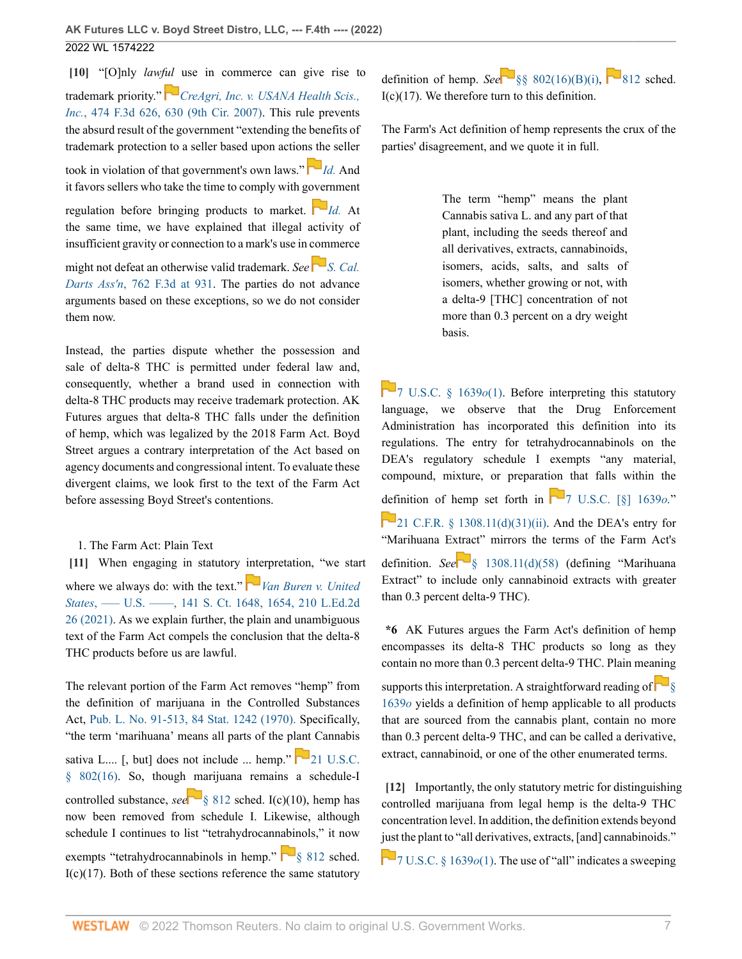<span id="page-6-0"></span>**[\[10\]](#page-1-5)** "[O]nly *lawf[ul](https://1.next.westlaw.com/Link/RelatedInformation/Flag?documentGuid=I530d88e1a50f11dba10be1078cee05f1&transitionType=InlineKeyCiteFlags&originationContext=docHeaderFlag&Rank=0&ppcid=60f9b16838e345d6823c00f84c157169&contextData=(sc.UserEnteredCitation) )* use in commerce can give rise to trademark priority." *[CreAgri, Inc. v. USANA Health Scis.,](http://www.westlaw.com/Link/Document/FullText?findType=Y&serNum=2011193317&pubNum=0000506&originatingDoc=Icc040370d7aa11ec8d48d9b78fa47086&refType=RP&fi=co_pp_sp_506_630&originationContext=document&vr=3.0&rs=cblt1.0&transitionType=DocumentItem&contextData=(sc.UserEnteredCitation)#co_pp_sp_506_630) Inc.*[, 474 F.3d 626, 630 \(9th Cir. 2007\)](http://www.westlaw.com/Link/Document/FullText?findType=Y&serNum=2011193317&pubNum=0000506&originatingDoc=Icc040370d7aa11ec8d48d9b78fa47086&refType=RP&fi=co_pp_sp_506_630&originationContext=document&vr=3.0&rs=cblt1.0&transitionType=DocumentItem&contextData=(sc.UserEnteredCitation)#co_pp_sp_506_630). This rule prevents the absurd result of the government "extending the benefits of trademark protection to a seller based upon actio[ns th](https://1.next.westlaw.com/Link/RelatedInformation/Flag?documentGuid=I530d88e1a50f11dba10be1078cee05f1&transitionType=InlineKeyCiteFlags&originationContext=docHeaderFlag&Rank=0&ppcid=60f9b16838e345d6823c00f84c157169&contextData=(sc.UserEnteredCitation) )e seller

took in violation of that government's own laws." *[Id.](http://www.westlaw.com/Link/Document/FullText?findType=Y&serNum=2011193317&pubNum=0000506&originatingDoc=Icc040370d7aa11ec8d48d9b78fa47086&refType=RP&originationContext=document&vr=3.0&rs=cblt1.0&transitionType=DocumentItem&contextData=(sc.UserEnteredCitation))* And it favors sellers who take the time to comply with g[over](https://1.next.westlaw.com/Link/RelatedInformation/Flag?documentGuid=I530d88e1a50f11dba10be1078cee05f1&transitionType=InlineKeyCiteFlags&originationContext=docHeaderFlag&Rank=0&ppcid=60f9b16838e345d6823c00f84c157169&contextData=(sc.UserEnteredCitation) )nment

regulation before bringing products to market.  $\Box$  *[Id.](http://www.westlaw.com/Link/Document/FullText?findType=Y&serNum=2011193317&pubNum=0000506&originatingDoc=Icc040370d7aa11ec8d48d9b78fa47086&refType=RP&originationContext=document&vr=3.0&rs=cblt1.0&transitionType=DocumentItem&contextData=(sc.UserEnteredCitation))* At the same time, we have explained that illegal activity of insufficient gravity or connection to a mark's use in commerce

might not defeat an otherwise valid trademark. *See*  $\Gamma$ <sup>*[S. Cal.](http://www.westlaw.com/Link/Document/FullText?findType=Y&serNum=2034067806&pubNum=0000506&originatingDoc=Icc040370d7aa11ec8d48d9b78fa47086&refType=PA&fi=co_pp_sp_506_931&originationContext=document&vr=3.0&rs=cblt1.0&transitionType=DocumentItem&contextData=(sc.UserEnteredCitation)#co_pp_sp_506_931)*</sup> *Darts Ass'n*[, 762 F.3d at 931.](http://www.westlaw.com/Link/Document/FullText?findType=Y&serNum=2034067806&pubNum=0000506&originatingDoc=Icc040370d7aa11ec8d48d9b78fa47086&refType=PA&fi=co_pp_sp_506_931&originationContext=document&vr=3.0&rs=cblt1.0&transitionType=DocumentItem&contextData=(sc.UserEnteredCitation)#co_pp_sp_506_931) The parties do not advance arguments based on these exceptions, so we do not consider them now.

Instead, the parties dispute whether the possession and sale of delta-8 THC is permitted under federal law and, consequently, whether a brand used in connection with delta-8 THC products may receive trademark protection. AK Futures argues that delta-8 THC falls under the definition of hemp, which was legalized by the 2018 Farm Act. Boyd Street argues a contrary interpretation of the Act based on agency documents and congressional intent. To evaluate these divergent claims, we look first to the text of the Farm Act before assessing Boyd Street's contentions.

<span id="page-6-1"></span>1. The Farm Act: Plain Text

**[\[11\]](#page-1-6)** When engaging in statutory [inte](https://1.next.westlaw.com/Link/RelatedInformation/Flag?documentGuid=I2752748fc35a11ebaa829251c41d9359&transitionType=InlineKeyCiteFlags&originationContext=docHeaderFlag&Rank=0&ppcid=60f9b16838e345d6823c00f84c157169&contextData=(sc.UserEnteredCitation) )rpretation, "we start where we always do: with the text." **[Van Buren v. United](http://www.westlaw.com/Link/Document/FullText?findType=Y&serNum=2053749201&pubNum=0000708&originatingDoc=Icc040370d7aa11ec8d48d9b78fa47086&refType=RP&fi=co_pp_sp_708_1654&originationContext=document&vr=3.0&rs=cblt1.0&transitionType=DocumentItem&contextData=(sc.UserEnteredCitation)#co_pp_sp_708_1654)** *States*[, ––– U.S. ––––, 141 S. Ct. 1648, 1654, 210 L.Ed.2d](http://www.westlaw.com/Link/Document/FullText?findType=Y&serNum=2053749201&pubNum=0000708&originatingDoc=Icc040370d7aa11ec8d48d9b78fa47086&refType=RP&fi=co_pp_sp_708_1654&originationContext=document&vr=3.0&rs=cblt1.0&transitionType=DocumentItem&contextData=(sc.UserEnteredCitation)#co_pp_sp_708_1654) [26 \(2021\)](http://www.westlaw.com/Link/Document/FullText?findType=Y&serNum=2053749201&pubNum=0000708&originatingDoc=Icc040370d7aa11ec8d48d9b78fa47086&refType=RP&fi=co_pp_sp_708_1654&originationContext=document&vr=3.0&rs=cblt1.0&transitionType=DocumentItem&contextData=(sc.UserEnteredCitation)#co_pp_sp_708_1654). As we explain further, the plain and unambiguous text of the Farm Act compels the conclusion that the delta-8 THC products before us are lawful.

The relevant portion of the Farm Act removes "hemp" from the definition of marijuana in the Controlled Substances Act, [Pub. L. No. 91-513, 84 Stat. 1242 \(1970\).](http://www.westlaw.com/Link/Document/FullText?findType=l&pubNum=1077005&cite=UUID(I7c4be550d4-3a11d89ae30-0065b696d43)&originatingDoc=Icc040370d7aa11ec8d48d9b78fa47086&refType=SL&originationContext=document&vr=3.0&rs=cblt1.0&transitionType=DocumentItem&contextData=(sc.UserEnteredCitation)) Specifically, "the term 'marihuana' means all parts of the plant Cannabis sativa L.... [, but] does not include ... hemp."  $\Box$  U.S.C. [§ 802\(16\)](http://www.westlaw.com/Link/Document/FullText?findType=L&pubNum=1000546&cite=21USCAS802&originatingDoc=Icc040370d7aa11ec8d48d9b78fa47086&refType=RB&originationContext=document&vr=3.0&rs=cblt1.0&transitionType=DocumentItem&contextData=(sc.UserEnteredCitation)#co_pp_1cbd000075e87). So, though [m](https://1.next.westlaw.com/Link/RelatedInformation/Flag?documentGuid=NAC6A8E102B1611E9A66A89330483893E&transitionType=InlineKeyCiteFlags&originationContext=docHeaderFlag&Rank=0&ppcid=60f9b16838e345d6823c00f84c157169&contextData=(sc.UserEnteredCitation) )arijuana remains a schedule-I controlled substance, *see* [§ 812](http://www.westlaw.com/Link/Document/FullText?findType=L&pubNum=1000546&cite=21USCAS812&originatingDoc=Icc040370d7aa11ec8d48d9b78fa47086&refType=LQ&originationContext=document&vr=3.0&rs=cblt1.0&transitionType=DocumentItem&contextData=(sc.UserEnteredCitation)) sched. I(c)(10), hemp has now been removed from schedule I. Likewise, although schedule I continues to list "tetrahydrocannabinols," it now exempts "tetrahydrocannabinols in hemp."  $\Box$  812 sched.  $I(c)(17)$ . Both of these sections reference the same statutory definition of hemp. *See* [§§ 802\(16\)\(B\)\(i\)](http://www.westlaw.com/Link/Document/FullText?findType=L&pubNum=1000546&cite=21USCAS802&originatingDoc=Icc040370d7aa11ec8d48d9b78fa47086&refType=RB&originationContext=document&vr=3.0&rs=cblt1.0&transitionType=DocumentItem&contextData=(sc.UserEnteredCitation)#co_pp_f0320000bdf37), [812](http://www.westlaw.com/Link/Document/FullText?findType=L&pubNum=1000546&cite=21USCAS812&originatingDoc=Icc040370d7aa11ec8d48d9b78fa47086&refType=LQ&originationContext=document&vr=3.0&rs=cblt1.0&transitionType=DocumentItem&contextData=(sc.UserEnteredCitation)) sched.  $I(c)(17)$ . We therefore turn to this definition.

The Farm's Act definition of hemp represents the crux of the parties' disagreement, and we quote it in full.

> The term "hemp" means the plant Cannabis sativa L. and any part of that plant, including the seeds thereof and all derivatives, extracts, cannabinoids, isomers, acids, salts, and salts of isomers, whether growing or not, with a delta-9 [THC] concentration of not more than 0.3 percent on a dry weight basis.

**7** U.S.C. § 1639*o*(1). Before interpreting this statutory language, we observe that the Drug Enforcement Administration has incorporated this definition into its regulations. The entry for tetrahydrocannabinols on the DEA's regulatory schedule I exempts "any material, compound, mixture, or preparation that falls within the [defi](https://1.next.westlaw.com/Link/RelatedInformation/Flag?documentGuid=N006E0B30BA4E11ECA1F4A80D942CA5F6&transitionType=InlineKeyCiteFlags&originationContext=docHeaderFlag&Rank=0&ppcid=60f9b16838e345d6823c00f84c157169&contextData=(sc.UserEnteredCitation) )nition of hemp set forth in  $\boxed{2}$  U.S.C. [§] 1639*o*." [21 C.F.R. § 1308.11\(d\)\(31\)\(ii\).](http://www.westlaw.com/Link/Document/FullText?findType=L&pubNum=1000547&cite=21CFRS1308.11&originatingDoc=Icc040370d7aa11ec8d48d9b78fa47086&refType=RB&originationContext=document&vr=3.0&rs=cblt1.0&transitionType=DocumentItem&contextData=(sc.UserEnteredCitation)#co_pp_5ba1000067d06) And the DEA's entry for "Marihuana E[xtrac](https://1.next.westlaw.com/Link/RelatedInformation/Flag?documentGuid=N006E0B30BA4E11ECA1F4A80D942CA5F6&transitionType=InlineKeyCiteFlags&originationContext=docHeaderFlag&Rank=0&ppcid=60f9b16838e345d6823c00f84c157169&contextData=(sc.UserEnteredCitation) )t" mirrors the terms of the Farm Act's definition. *See* [§ 1308.11\(d\)\(58\)](http://www.westlaw.com/Link/Document/FullText?findType=L&pubNum=1000547&cite=21CFRS1308.11&originatingDoc=Icc040370d7aa11ec8d48d9b78fa47086&refType=RB&originationContext=document&vr=3.0&rs=cblt1.0&transitionType=DocumentItem&contextData=(sc.UserEnteredCitation)#co_pp_5ba1000067d06) (defining "Marihuana Extract" to include only cannabinoid extracts with greater than 0.3 percent delta-9 THC).

**\*6** AK Futures argues the Farm Act's definition of hemp encompasses its delta-8 THC products so long as they contain no more than 0.3 percent delta-9 THC. Plain meaning

supportsthis interpretation. A straightforward reading of  $\Box$ [1639](http://www.westlaw.com/Link/Document/FullText?findType=L&pubNum=1000546&cite=7USCAS1639O&originatingDoc=Icc040370d7aa11ec8d48d9b78fa47086&refType=LQ&originationContext=document&vr=3.0&rs=cblt1.0&transitionType=DocumentItem&contextData=(sc.UserEnteredCitation))*o* yields a definition of hemp applicable to all products that are sourced from the cannabis plant, contain no more than 0.3 percent delta-9 THC, and can be called a derivative, extract, cannabinoid, or one of the other enumerated terms.

<span id="page-6-2"></span>**[\[12\]](#page-1-7)** Importantly, the only statutory metric for distinguishing controlled marijuana from legal hemp is the delta-9 THC concentration level. In addition, the definition extends beyond [just](https://1.next.westlaw.com/Link/RelatedInformation/Flag?documentGuid=NF414DC402AF611E98904C127C11869D3&transitionType=InlineKeyCiteFlags&originationContext=docHeaderFlag&Rank=0&ppcid=60f9b16838e345d6823c00f84c157169&contextData=(sc.UserEnteredCitation) ) the plant to "all derivatives, extracts, [and] cannabinoids."

 $\Box$  [7 U.S.C. § 1639](http://www.westlaw.com/Link/Document/FullText?findType=L&pubNum=1000546&cite=7USCAS1639O&originatingDoc=Icc040370d7aa11ec8d48d9b78fa47086&refType=RB&originationContext=document&vr=3.0&rs=cblt1.0&transitionType=DocumentItem&contextData=(sc.UserEnteredCitation)#co_pp_f1c50000821b0) $o(1)$ . The use of "all" indicates a sweeping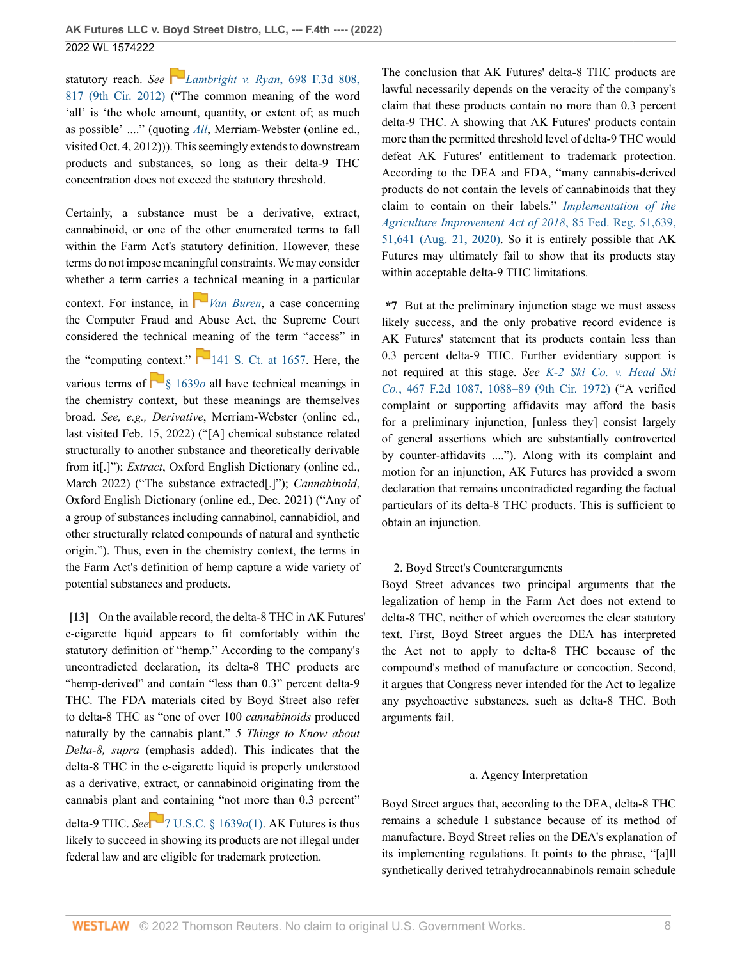statutory reach. *See [Lambright v. Ryan](http://www.westlaw.com/Link/Document/FullText?findType=Y&serNum=2028892237&pubNum=0000506&originatingDoc=Icc040370d7aa11ec8d48d9b78fa47086&refType=RP&fi=co_pp_sp_506_817&originationContext=document&vr=3.0&rs=cblt1.0&transitionType=DocumentItem&contextData=(sc.UserEnteredCitation)#co_pp_sp_506_817)*, 698 F.3d 808, [817 \(9th Cir. 2012\)](http://www.westlaw.com/Link/Document/FullText?findType=Y&serNum=2028892237&pubNum=0000506&originatingDoc=Icc040370d7aa11ec8d48d9b78fa47086&refType=RP&fi=co_pp_sp_506_817&originationContext=document&vr=3.0&rs=cblt1.0&transitionType=DocumentItem&contextData=(sc.UserEnteredCitation)#co_pp_sp_506_817) ("The common meaning of the word 'all' is 'the whole amount, quantity, or extent of; as much as possible' ...." (quoting *[All](http://www.westlaw.com/Link/Document/FullText?findType=Y&serNum=2054559607&pubNum=0008173&originatingDoc=Icc040370d7aa11ec8d48d9b78fa47086&refType=RP&originationContext=document&vr=3.0&rs=cblt1.0&transitionType=DocumentItem&contextData=(sc.UserEnteredCitation))*, Merriam-Webster (online ed., visited Oct. 4, 2012))). This seemingly extends to downstream products and substances, so long as their delta-9 THC concentration does not exceed the statutory threshold.

Certainly, a substance must be a derivative, extract, cannabinoid, or one of the other enumerated terms to fall within the Farm Act's statutory definition. However, these terms do not impose meaningful constraints. We may consider whether a term carries a [tech](https://1.next.westlaw.com/Link/RelatedInformation/Flag?documentGuid=I2752748fc35a11ebaa829251c41d9359&transitionType=InlineKeyCiteFlags&originationContext=docHeaderFlag&Rank=0&ppcid=60f9b16838e345d6823c00f84c157169&contextData=(sc.UserEnteredCitation) )nical meaning in a particular context. For instance, in  $\blacksquare$  *[Van Buren](http://www.westlaw.com/Link/Document/FullText?findType=Y&serNum=2053749201&pubNum=0000708&originatingDoc=Icc040370d7aa11ec8d48d9b78fa47086&refType=RP&originationContext=document&vr=3.0&rs=cblt1.0&transitionType=DocumentItem&contextData=(sc.UserEnteredCitation))*, a case concerning the Computer Fraud and Abuse Act, the Supreme Court considered the technical meaning of the term "access" in the "computing context."  $\boxed{\phantom{1}}$  [141 S. Ct. at 1657](http://www.westlaw.com/Link/Document/FullText?findType=Y&serNum=2053749201&pubNum=0000708&originatingDoc=Icc040370d7aa11ec8d48d9b78fa47086&refType=RP&fi=co_pp_sp_708_1657&originationContext=document&vr=3.0&rs=cblt1.0&transitionType=DocumentItem&contextData=(sc.UserEnteredCitation)#co_pp_sp_708_1657). Here, the various terms of  $\Box$ [§ 1639](http://www.westlaw.com/Link/Document/FullText?findType=L&pubNum=1000546&cite=7USCAS1639O&originatingDoc=Icc040370d7aa11ec8d48d9b78fa47086&refType=LQ&originationContext=document&vr=3.0&rs=cblt1.0&transitionType=DocumentItem&contextData=(sc.UserEnteredCitation))*o* all have technical meanings in the chemistry context, but these meanings are themselves broad. *See, e.g., Derivative*, Merriam-Webster (online ed., last visited Feb. 15, 2022) ("[A] chemical substance related structurally to another substance and theoretically derivable from it[.]"); *Extract*, Oxford English Dictionary (online ed., March 2022) ("The substance extracted[.]"); *Cannabinoid*, Oxford English Dictionary (online ed., Dec. 2021) ("Any of a group of substances including cannabinol, cannabidiol, and other structurally related compounds of natural and synthetic origin."). Thus, even in the chemistry context, the terms in the Farm Act's definition of hemp capture a wide variety of potential substances and products.

<span id="page-7-0"></span>**[\[13\]](#page-1-0)** On the available record, the delta-8 THC in AK Futures' e-cigarette liquid appears to fit comfortably within the statutory definition of "hemp." According to the company's uncontradicted declaration, its delta-8 THC products are "hemp-derived" and contain "less than 0.3" percent delta-9 THC. The FDA materials cited by Boyd Street also refer to delta-8 THC as "one of over 100 *cannabinoids* produced naturally by the cannabis plant." *5 Things to Know about Delta-8, supra* (emphasis added). This indicates that the delta-8 THC in the e-cigarette liquid is properly understood as a derivative, extract, or cannabinoid originating from the cannabis plant a[nd c](https://1.next.westlaw.com/Link/RelatedInformation/Flag?documentGuid=NF414DC402AF611E98904C127C11869D3&transitionType=InlineKeyCiteFlags&originationContext=docHeaderFlag&Rank=0&ppcid=60f9b16838e345d6823c00f84c157169&contextData=(sc.UserEnteredCitation) )ontaining "not more than 0.3 percent" delta-9 THC. *See* [7 U.S.C. § 1639](http://www.westlaw.com/Link/Document/FullText?findType=L&pubNum=1000546&cite=7USCAS1639O&originatingDoc=Icc040370d7aa11ec8d48d9b78fa47086&refType=RB&originationContext=document&vr=3.0&rs=cblt1.0&transitionType=DocumentItem&contextData=(sc.UserEnteredCitation)#co_pp_f1c50000821b0)*o*(1). AK Futures is thus likely to succeed in showing its products are not illegal under federal law and are eligible for trademark protection.

The conclusion that AK Futures' delta-8 THC products are lawful necessarily depends on the veracity of the company's claim that these products contain no more than 0.3 percent delta-9 THC. A showing that AK Futures' products contain more than the permitted threshold level of delta-9 THC would defeat AK Futures' entitlement to trademark protection. According to the DEA and FDA, "many cannabis-derived products do not contain the levels of cannabinoids that they claim to contain on their labels." *[Implementation of the](http://www.westlaw.com/Link/Document/FullText?findType=l&pubNum=0001037&cite=UUID(I1EFA9550E37C11EA882BB19EEFE3CB1F)&originatingDoc=Icc040370d7aa11ec8d48d9b78fa47086&refType=CP&fi=co_pp_sp_1037_51639&originationContext=document&vr=3.0&rs=cblt1.0&transitionType=DocumentItem&contextData=(sc.UserEnteredCitation)#co_pp_sp_1037_51639) [Agriculture Improvement Act of 2018](http://www.westlaw.com/Link/Document/FullText?findType=l&pubNum=0001037&cite=UUID(I1EFA9550E37C11EA882BB19EEFE3CB1F)&originatingDoc=Icc040370d7aa11ec8d48d9b78fa47086&refType=CP&fi=co_pp_sp_1037_51639&originationContext=document&vr=3.0&rs=cblt1.0&transitionType=DocumentItem&contextData=(sc.UserEnteredCitation)#co_pp_sp_1037_51639)*, 85 Fed. Reg. 51,639, [51,641 \(Aug. 21, 2020\).](http://www.westlaw.com/Link/Document/FullText?findType=l&pubNum=0001037&cite=UUID(I1EFA9550E37C11EA882BB19EEFE3CB1F)&originatingDoc=Icc040370d7aa11ec8d48d9b78fa47086&refType=CP&fi=co_pp_sp_1037_51639&originationContext=document&vr=3.0&rs=cblt1.0&transitionType=DocumentItem&contextData=(sc.UserEnteredCitation)#co_pp_sp_1037_51639) So it is entirely possible that AK Futures may ultimately fail to show that its products stay within acceptable delta-9 THC limitations.

**\*7** But at the preliminary injunction stage we must assess likely success, and the only probative record evidence is AK Futures' statement that its products contain less than 0.3 percent delta-9 THC. Further evidentiary support is not required at this stage. *See [K-2 Ski Co. v. Head Ski](http://www.westlaw.com/Link/Document/FullText?findType=Y&serNum=1972112275&pubNum=0000350&originatingDoc=Icc040370d7aa11ec8d48d9b78fa47086&refType=RP&fi=co_pp_sp_350_1088&originationContext=document&vr=3.0&rs=cblt1.0&transitionType=DocumentItem&contextData=(sc.UserEnteredCitation)#co_pp_sp_350_1088) Co.*[, 467 F.2d 1087, 1088–89 \(9th Cir. 1972\)](http://www.westlaw.com/Link/Document/FullText?findType=Y&serNum=1972112275&pubNum=0000350&originatingDoc=Icc040370d7aa11ec8d48d9b78fa47086&refType=RP&fi=co_pp_sp_350_1088&originationContext=document&vr=3.0&rs=cblt1.0&transitionType=DocumentItem&contextData=(sc.UserEnteredCitation)#co_pp_sp_350_1088) ("A verified complaint or supporting affidavits may afford the basis for a preliminary injunction, [unless they] consist largely of general assertions which are substantially controverted by counter-affidavits ...."). Along with its complaint and motion for an injunction, AK Futures has provided a sworn declaration that remains uncontradicted regarding the factual particulars of its delta-8 THC products. This is sufficient to obtain an injunction.

### 2. Boyd Street's Counterarguments

Boyd Street advances two principal arguments that the legalization of hemp in the Farm Act does not extend to delta-8 THC, neither of which overcomes the clear statutory text. First, Boyd Street argues the DEA has interpreted the Act not to apply to delta-8 THC because of the compound's method of manufacture or concoction. Second, it argues that Congress never intended for the Act to legalize any psychoactive substances, such as delta-8 THC. Both arguments fail.

#### a. Agency Interpretation

Boyd Street argues that, according to the DEA, delta-8 THC remains a schedule I substance because of its method of manufacture. Boyd Street relies on the DEA's explanation of its implementing regulations. It points to the phrase, "[a]ll synthetically derived tetrahydrocannabinols remain schedule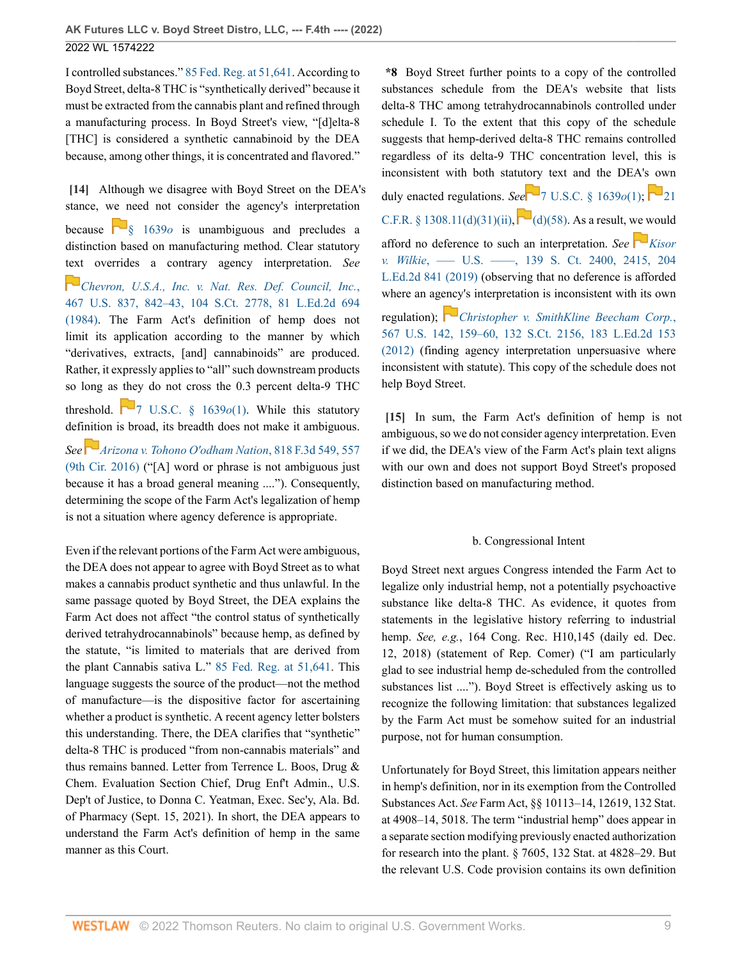I controlled substances." [85 Fed. Reg. at 51,641.](http://www.westlaw.com/Link/Document/FullText?findType=l&pubNum=0001037&cite=UUID(I1EFA9550E37C11EA882BB19EEFE3CB1F)&originatingDoc=Icc040370d7aa11ec8d48d9b78fa47086&refType=CP&fi=co_pp_sp_1037_51641&originationContext=document&vr=3.0&rs=cblt1.0&transitionType=DocumentItem&contextData=(sc.UserEnteredCitation)#co_pp_sp_1037_51641) According to Boyd Street, delta-8 THC is "synthetically derived" because it must be extracted from the cannabis plant and refined through a manufacturing process. In Boyd Street's view, "[d]elta-8 [THC] is considered a synthetic cannabinoid by the DEA because, among other things, it is concentrated and flavored."

<span id="page-8-0"></span>**[\[14\]](#page-1-8)** Although we disagree with Boyd Street on the DEA's stance, we need not consider the agency's interpretation

because [§ 1639](http://www.westlaw.com/Link/Document/FullText?findType=L&pubNum=1000546&cite=7USCAS1639O&originatingDoc=Icc040370d7aa11ec8d48d9b78fa47086&refType=LQ&originationContext=document&vr=3.0&rs=cblt1.0&transitionType=DocumentItem&contextData=(sc.UserEnteredCitation))*o* is unambiguous and precludes a distinction based on manufacturing method. Clear statutory [text](https://1.next.westlaw.com/Link/RelatedInformation/Flag?documentGuid=I1d248e419c9711d993e6d35cc61aab4a&transitionType=InlineKeyCiteFlags&originationContext=docHeaderFlag&Rank=0&ppcid=60f9b16838e345d6823c00f84c157169&contextData=(sc.UserEnteredCitation) ) overrides a contrary agency interpretation. *See*

*[Chevron, U.S.A., Inc. v. Nat. Res. Def. Council, Inc.](http://www.westlaw.com/Link/Document/FullText?findType=Y&serNum=1984130736&pubNum=0000780&originatingDoc=Icc040370d7aa11ec8d48d9b78fa47086&refType=RP&fi=co_pp_sp_780_842&originationContext=document&vr=3.0&rs=cblt1.0&transitionType=DocumentItem&contextData=(sc.UserEnteredCitation)#co_pp_sp_780_842)*, [467 U.S. 837, 842–43, 104 S.Ct. 2778, 81 L.Ed.2d 694](http://www.westlaw.com/Link/Document/FullText?findType=Y&serNum=1984130736&pubNum=0000780&originatingDoc=Icc040370d7aa11ec8d48d9b78fa47086&refType=RP&fi=co_pp_sp_780_842&originationContext=document&vr=3.0&rs=cblt1.0&transitionType=DocumentItem&contextData=(sc.UserEnteredCitation)#co_pp_sp_780_842) [\(1984\).](http://www.westlaw.com/Link/Document/FullText?findType=Y&serNum=1984130736&pubNum=0000780&originatingDoc=Icc040370d7aa11ec8d48d9b78fa47086&refType=RP&fi=co_pp_sp_780_842&originationContext=document&vr=3.0&rs=cblt1.0&transitionType=DocumentItem&contextData=(sc.UserEnteredCitation)#co_pp_sp_780_842) The Farm Act's definition of hemp does not limit its application according to the manner by which "derivatives, extracts, [and] cannabinoids" are produced. Rather, it expressly applies to "all" such downstream products so long as they do not cross the 0.3 percent delta-9 THC

threshold.  $\Box$  [7 U.S.C. § 1639](http://www.westlaw.com/Link/Document/FullText?findType=L&pubNum=1000546&cite=7USCAS1639O&originatingDoc=Icc040370d7aa11ec8d48d9b78fa47086&refType=RB&originationContext=document&vr=3.0&rs=cblt1.0&transitionType=DocumentItem&contextData=(sc.UserEnteredCitation)#co_pp_f1c50000821b0) $o(1)$ . While this statutory definition is broad, its breadth does not make it ambiguous.

*See[Arizona v. Tohono O'odham Nation](http://www.westlaw.com/Link/Document/FullText?findType=Y&serNum=2038561859&pubNum=0000506&originatingDoc=Icc040370d7aa11ec8d48d9b78fa47086&refType=RP&fi=co_pp_sp_506_557&originationContext=document&vr=3.0&rs=cblt1.0&transitionType=DocumentItem&contextData=(sc.UserEnteredCitation)#co_pp_sp_506_557)*, 818 F.3d 549, 557 [\(9th Cir. 2016\)](http://www.westlaw.com/Link/Document/FullText?findType=Y&serNum=2038561859&pubNum=0000506&originatingDoc=Icc040370d7aa11ec8d48d9b78fa47086&refType=RP&fi=co_pp_sp_506_557&originationContext=document&vr=3.0&rs=cblt1.0&transitionType=DocumentItem&contextData=(sc.UserEnteredCitation)#co_pp_sp_506_557) ("[A] word or phrase is not ambiguous just because it has a broad general meaning ...."). Consequently, determining the scope of the Farm Act's legalization of hemp is not a situation where agency deference is appropriate.

Even if the relevant portions of the Farm Act were ambiguous, the DEA does not appear to agree with Boyd Street as to what makes a cannabis product synthetic and thus unlawful. In the same passage quoted by Boyd Street, the DEA explains the Farm Act does not affect "the control status of synthetically derived tetrahydrocannabinols" because hemp, as defined by the statute, "is limited to materials that are derived from the plant Cannabis sativa L." [85 Fed. Reg. at 51,641](http://www.westlaw.com/Link/Document/FullText?findType=l&pubNum=0001037&cite=UUID(I1EFA9550E37C11EA882BB19EEFE3CB1F)&originatingDoc=Icc040370d7aa11ec8d48d9b78fa47086&refType=CP&fi=co_pp_sp_1037_51641&originationContext=document&vr=3.0&rs=cblt1.0&transitionType=DocumentItem&contextData=(sc.UserEnteredCitation)#co_pp_sp_1037_51641). This language suggests the source of the product—not the method of manufacture—is the dispositive factor for ascertaining whether a product is synthetic. A recent agency letter bolsters this understanding. There, the DEA clarifies that "synthetic" delta-8 THC is produced "from non-cannabis materials" and thus remains banned. Letter from Terrence L. Boos, Drug & Chem. Evaluation Section Chief, Drug Enf't Admin., U.S. Dep't of Justice, to Donna C. Yeatman, Exec. Sec'y, Ala. Bd. of Pharmacy (Sept. 15, 2021). In short, the DEA appears to understand the Farm Act's definition of hemp in the same manner as this Court.

**\*8** Boyd Street further points to a copy of the controlled substances schedule from the DEA's website that lists delta-8 THC among tetrahydrocannabinols controlled under schedule I. To the extent that this copy of the schedule suggests that hemp-derived delta-8 THC remains controlled regardless of its delta-9 THC concentration level, this is inconsistent with both statu[tory](https://1.next.westlaw.com/Link/RelatedInformation/Flag?documentGuid=NF414DC402AF611E98904C127C11869D3&transitionType=InlineKeyCiteFlags&originationContext=docHeaderFlag&Rank=0&ppcid=60f9b16838e345d6823c00f84c157169&contextData=(sc.UserEnteredCitation) ) text and the DEA's own duly enacted regulations. *See*  $\sqrt{7 \text{ U.S.C.}}$  § 1639 $o(1)$ ;  $\sqrt{21}$  $\sqrt{21}$  $\sqrt{21}$ [C.F.R. § 1308.11\(d\)\(31\)\(ii\)](http://www.westlaw.com/Link/Document/FullText?findType=L&pubNum=1000547&cite=21CFRS1308.11&originatingDoc=Icc040370d7aa11ec8d48d9b78fa47086&refType=RB&originationContext=document&vr=3.0&rs=cblt1.0&transitionType=DocumentItem&contextData=(sc.UserEnteredCitation)#co_pp_5ba1000067d06), $\Box$ [\(d\)\(58\)](http://www.westlaw.com/Link/Document/FullText?findType=L&pubNum=1000547&cite=21CFRS1308.11&originatingDoc=Icc040370d7aa11ec8d48d9b78fa47086&refType=RB&originationContext=document&vr=3.0&rs=cblt1.0&transitionType=DocumentItem&contextData=(sc.UserEnteredCitation)#co_pp_5ba1000067d06). As a result, we would afford no deference to such an interpretation. *See* [Kisor](http://www.westlaw.com/Link/Document/FullText?findType=Y&serNum=2048565013&pubNum=0000708&originatingDoc=Icc040370d7aa11ec8d48d9b78fa47086&refType=RP&fi=co_pp_sp_708_2415&originationContext=document&vr=3.0&rs=cblt1.0&transitionType=DocumentItem&contextData=(sc.UserEnteredCitation)#co_pp_sp_708_2415) *v. Wilkie*[, ––– U.S. ––––, 139 S. Ct. 2400, 2415, 204](http://www.westlaw.com/Link/Document/FullText?findType=Y&serNum=2048565013&pubNum=0000708&originatingDoc=Icc040370d7aa11ec8d48d9b78fa47086&refType=RP&fi=co_pp_sp_708_2415&originationContext=document&vr=3.0&rs=cblt1.0&transitionType=DocumentItem&contextData=(sc.UserEnteredCitation)#co_pp_sp_708_2415) [L.Ed.2d 841 \(2019\)](http://www.westlaw.com/Link/Document/FullText?findType=Y&serNum=2048565013&pubNum=0000708&originatingDoc=Icc040370d7aa11ec8d48d9b78fa47086&refType=RP&fi=co_pp_sp_708_2415&originationContext=document&vr=3.0&rs=cblt1.0&transitionType=DocumentItem&contextData=(sc.UserEnteredCitation)#co_pp_sp_708_2415) (observing that no deference is afforded where an ag[ency](https://1.next.westlaw.com/Link/RelatedInformation/Flag?documentGuid=Ie07ef2a7b94a11e1b66bbd5332e2d275&transitionType=InlineKeyCiteFlags&originationContext=docHeaderFlag&Rank=0&ppcid=60f9b16838e345d6823c00f84c157169&contextData=(sc.UserEnteredCitation) )'s interpretation is inconsistent with its own regulation); *[Christopher v. SmithKline Beecham Corp.](http://www.westlaw.com/Link/Document/FullText?findType=Y&serNum=2027916172&pubNum=0000780&originatingDoc=Icc040370d7aa11ec8d48d9b78fa47086&refType=RP&fi=co_pp_sp_780_159&originationContext=document&vr=3.0&rs=cblt1.0&transitionType=DocumentItem&contextData=(sc.UserEnteredCitation)#co_pp_sp_780_159)*, [567 U.S. 142, 159–60, 132 S.Ct. 2156, 183 L.Ed.2d 153](http://www.westlaw.com/Link/Document/FullText?findType=Y&serNum=2027916172&pubNum=0000780&originatingDoc=Icc040370d7aa11ec8d48d9b78fa47086&refType=RP&fi=co_pp_sp_780_159&originationContext=document&vr=3.0&rs=cblt1.0&transitionType=DocumentItem&contextData=(sc.UserEnteredCitation)#co_pp_sp_780_159) [\(2012\)](http://www.westlaw.com/Link/Document/FullText?findType=Y&serNum=2027916172&pubNum=0000780&originatingDoc=Icc040370d7aa11ec8d48d9b78fa47086&refType=RP&fi=co_pp_sp_780_159&originationContext=document&vr=3.0&rs=cblt1.0&transitionType=DocumentItem&contextData=(sc.UserEnteredCitation)#co_pp_sp_780_159) (finding agency interpretation unpersuasive where inconsistent with statute). This copy of the schedule does not

<span id="page-8-1"></span>**[\[15\]](#page-1-1)** In sum, the Farm Act's definition of hemp is not ambiguous, so we do not consider agency interpretation. Even if we did, the DEA's view of the Farm Act's plain text aligns with our own and does not support Boyd Street's proposed distinction based on manufacturing method.

help Boyd Street.

### b. Congressional Intent

Boyd Street next argues Congress intended the Farm Act to legalize only industrial hemp, not a potentially psychoactive substance like delta-8 THC. As evidence, it quotes from statements in the legislative history referring to industrial hemp. *See, e.g.*, 164 Cong. Rec. H10,145 (daily ed. Dec. 12, 2018) (statement of Rep. Comer) ("I am particularly glad to see industrial hemp de-scheduled from the controlled substances list ...."). Boyd Street is effectively asking us to recognize the following limitation: that substances legalized by the Farm Act must be somehow suited for an industrial purpose, not for human consumption.

Unfortunately for Boyd Street, this limitation appears neither in hemp's definition, nor in its exemption from the Controlled Substances Act. *See* Farm Act, §§ 10113–14, 12619, 132 Stat. at 4908–14, 5018. The term "industrial hemp" does appear in a separate section modifying previously enacted authorization for research into the plant. § 7605, 132 Stat. at 4828–29. But the relevant U.S. Code provision contains its own definition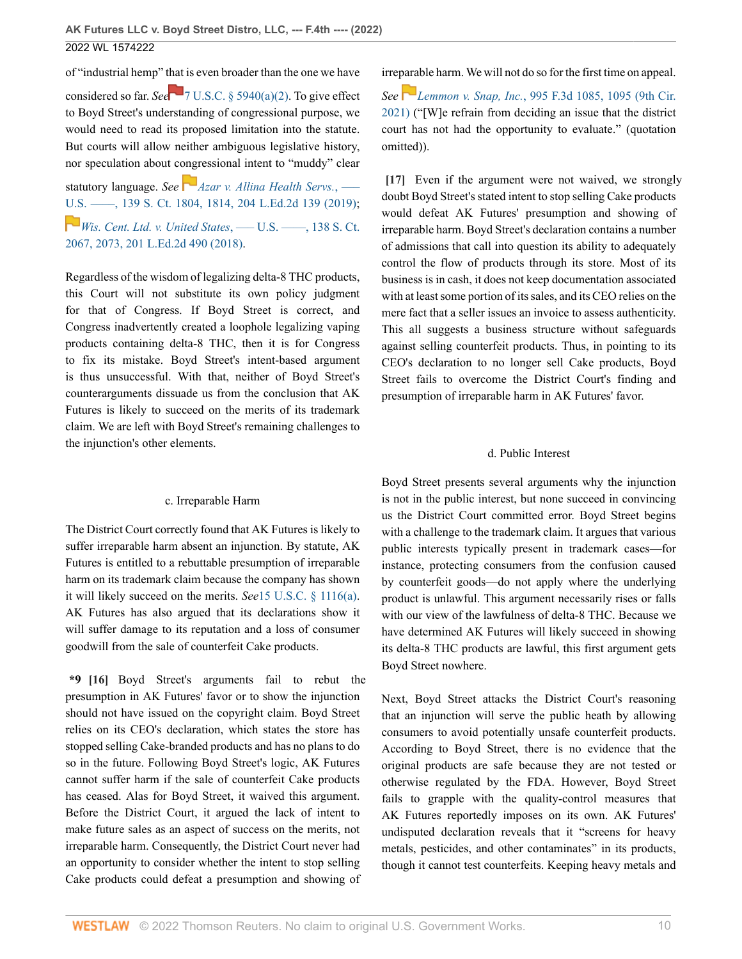of "industrial hemp" [that](https://1.next.westlaw.com/Link/RelatedInformation/Flag?documentGuid=N59A806A0D51B11ECB055C444B730B85B&transitionType=InlineKeyCiteFlags&originationContext=docHeaderFlag&Rank=0&ppcid=60f9b16838e345d6823c00f84c157169&contextData=(sc.UserEnteredCitation) ) is even broader than the one we have considered so far. *See* [7 U.S.C. § 5940\(a\)\(2\)](http://www.westlaw.com/Link/Document/FullText?findType=L&pubNum=1000546&cite=7USCAS5940&originatingDoc=Icc040370d7aa11ec8d48d9b78fa47086&refType=LQ&originationContext=document&vr=3.0&rs=cblt1.0&transitionType=DocumentItem&contextData=(sc.UserEnteredCitation)). To give effect to Boyd Street's understanding of congressional purpose, we would need to read its proposed limitation into the statute. But courts will allow neither ambiguous legislative history, nor speculation about congressional intent to "muddy" clear

statutory language. *See [Azar v. Allina Health Servs.](http://www.westlaw.com/Link/Document/FullText?findType=Y&serNum=2048401480&pubNum=0000708&originatingDoc=Icc040370d7aa11ec8d48d9b78fa47086&refType=RP&fi=co_pp_sp_708_1814&originationContext=document&vr=3.0&rs=cblt1.0&transitionType=DocumentItem&contextData=(sc.UserEnteredCitation)#co_pp_sp_708_1814)*, ––– [U.S. ––––, 139 S. Ct. 1804, 1814, 204 L.Ed.2d 139 \(2019\)](http://www.westlaw.com/Link/Document/FullText?findType=Y&serNum=2048401480&pubNum=0000708&originatingDoc=Icc040370d7aa11ec8d48d9b78fa47086&refType=RP&fi=co_pp_sp_708_1814&originationContext=document&vr=3.0&rs=cblt1.0&transitionType=DocumentItem&contextData=(sc.UserEnteredCitation)#co_pp_sp_708_1814); *[Wis. Cent. Ltd. v. United States](http://www.westlaw.com/Link/Document/FullText?findType=Y&serNum=2044774566&pubNum=0000708&originatingDoc=Icc040370d7aa11ec8d48d9b78fa47086&refType=RP&fi=co_pp_sp_708_2073&originationContext=document&vr=3.0&rs=cblt1.0&transitionType=DocumentItem&contextData=(sc.UserEnteredCitation)#co_pp_sp_708_2073)*, ––– U.S. ––––, 138 S. Ct. [2067, 2073, 201 L.Ed.2d 490 \(2018\)](http://www.westlaw.com/Link/Document/FullText?findType=Y&serNum=2044774566&pubNum=0000708&originatingDoc=Icc040370d7aa11ec8d48d9b78fa47086&refType=RP&fi=co_pp_sp_708_2073&originationContext=document&vr=3.0&rs=cblt1.0&transitionType=DocumentItem&contextData=(sc.UserEnteredCitation)#co_pp_sp_708_2073).

Regardless of the wisdom of legalizing delta-8 THC products, this Court will not substitute its own policy judgment for that of Congress. If Boyd Street is correct, and Congress inadvertently created a loophole legalizing vaping products containing delta-8 THC, then it is for Congress to fix its mistake. Boyd Street's intent-based argument is thus unsuccessful. With that, neither of Boyd Street's counterarguments dissuade us from the conclusion that AK Futures is likely to succeed on the merits of its trademark claim. We are left with Boyd Street's remaining challenges to the injunction's other elements.

#### c. Irreparable Harm

The District Court correctly found that AK Futures is likely to suffer irreparable harm absent an injunction. By statute, AK Futures is entitled to a rebuttable presumption of irreparable harm on its trademark claim because the company has shown it will likely succeed on the merits. *See*[15 U.S.C. § 1116\(a\)](http://www.westlaw.com/Link/Document/FullText?findType=L&pubNum=1000546&cite=15USCAS1116&originatingDoc=Icc040370d7aa11ec8d48d9b78fa47086&refType=RB&originationContext=document&vr=3.0&rs=cblt1.0&transitionType=DocumentItem&contextData=(sc.UserEnteredCitation)#co_pp_8b3b0000958a4). AK Futures has also argued that its declarations show it will suffer damage to its reputation and a loss of consumer goodwill from the sale of counterfeit Cake products.

<span id="page-9-0"></span>**\*9 [\[16\]](#page-2-0)** Boyd Street's arguments fail to rebut the presumption in AK Futures' favor or to show the injunction should not have issued on the copyright claim. Boyd Street relies on its CEO's declaration, which states the store has stopped selling Cake-branded products and has no plans to do so in the future. Following Boyd Street's logic, AK Futures cannot suffer harm if the sale of counterfeit Cake products has ceased. Alas for Boyd Street, it waived this argument. Before the District Court, it argued the lack of intent to make future sales as an aspect of success on the merits, not irreparable harm. Consequently, the District Court never had an opportunity to consider whether the intent to stop selling Cake products could defeat a presumption and showing of

irreparable harm. We will not do so for the first time on appeal.

*See [L](https://1.next.westlaw.com/Link/RelatedInformation/Flag?documentGuid=I7208b810ad1311eba4978dd2c5234e82&transitionType=InlineKeyCiteFlags&originationContext=docHeaderFlag&Rank=0&ppcid=60f9b16838e345d6823c00f84c157169&contextData=(sc.UserEnteredCitation) )emmon v. Snap, Inc.*[, 995 F.3d 1085, 1095 \(9th Cir.](http://www.westlaw.com/Link/Document/FullText?findType=Y&serNum=2053558932&pubNum=0000506&originatingDoc=Icc040370d7aa11ec8d48d9b78fa47086&refType=RP&fi=co_pp_sp_506_1095&originationContext=document&vr=3.0&rs=cblt1.0&transitionType=DocumentItem&contextData=(sc.UserEnteredCitation)#co_pp_sp_506_1095) [2021\)](http://www.westlaw.com/Link/Document/FullText?findType=Y&serNum=2053558932&pubNum=0000506&originatingDoc=Icc040370d7aa11ec8d48d9b78fa47086&refType=RP&fi=co_pp_sp_506_1095&originationContext=document&vr=3.0&rs=cblt1.0&transitionType=DocumentItem&contextData=(sc.UserEnteredCitation)#co_pp_sp_506_1095) ("[W]e refrain from deciding an issue that the district court has not had the opportunity to evaluate." (quotation omitted)).

<span id="page-9-1"></span>**[\[17\]](#page-2-1)** Even if the argument were not waived, we strongly doubt Boyd Street's stated intent to stop selling Cake products would defeat AK Futures' presumption and showing of irreparable harm. Boyd Street's declaration contains a number of admissions that call into question its ability to adequately control the flow of products through its store. Most of its business is in cash, it does not keep documentation associated with at least some portion of its sales, and its CEO relies on the mere fact that a seller issues an invoice to assess authenticity. This all suggests a business structure without safeguards against selling counterfeit products. Thus, in pointing to its CEO's declaration to no longer sell Cake products, Boyd Street fails to overcome the District Court's finding and presumption of irreparable harm in AK Futures' favor.

### d. Public Interest

Boyd Street presents several arguments why the injunction is not in the public interest, but none succeed in convincing us the District Court committed error. Boyd Street begins with a challenge to the trademark claim. It argues that various public interests typically present in trademark cases—for instance, protecting consumers from the confusion caused by counterfeit goods—do not apply where the underlying product is unlawful. This argument necessarily rises or falls with our view of the lawfulness of delta-8 THC. Because we have determined AK Futures will likely succeed in showing its delta-8 THC products are lawful, this first argument gets Boyd Street nowhere.

Next, Boyd Street attacks the District Court's reasoning that an injunction will serve the public heath by allowing consumers to avoid potentially unsafe counterfeit products. According to Boyd Street, there is no evidence that the original products are safe because they are not tested or otherwise regulated by the FDA. However, Boyd Street fails to grapple with the quality-control measures that AK Futures reportedly imposes on its own. AK Futures' undisputed declaration reveals that it "screens for heavy metals, pesticides, and other contaminates" in its products, though it cannot test counterfeits. Keeping heavy metals and